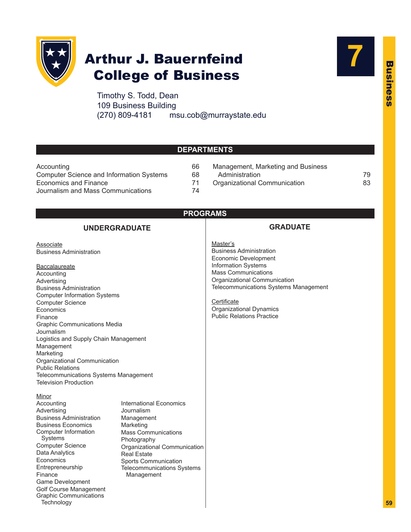

# Arthur J. Bauernfeind College of Business

Timothy S. Todd, Dean 109 Business Building (270) 809-4181 msu.cob@murraystate.edu



### **DEPARTMENTS**

| Accounting                               | 66 |
|------------------------------------------|----|
| Computer Science and Information Systems | 68 |
| Economics and Finance                    | 71 |
| Journalism and Mass Communications       | 74 |

Graphic [Communications](#page-20-0)

**Technology** 

66 Management, Marketing and Business 68 Administration 59 Administration 59 71 [Organizational](#page-24-0) Communication<br>
83

### **PROGRAMS**

#### **UNDERGRADUATE Associate** Business [Administration](#page-20-0) **Baccalaureate** [Accounting](#page-7-0) [Advertising](#page-16-0) Business [Administration](#page-20-0) Computer [Information](#page-9-0) Systems [Computer](#page-10-0) Science **[Economics](#page-13-0)** [Finance](#page-14-0) Graphic [Communications](#page-19-0) Media [Journalism](#page-17-0) Logistics and Supply Chain [Management](#page-23-0) [Management](#page-21-0) [Marketing](#page-22-0) Organizational [Communication](#page-24-0) Public [Relations](#page-17-0) [Telecommunications](#page-5-0) Systems Management Television [Production](#page-18-0) **Minor** [Accounting](#page-9-0) [Advertising](#page-18-0) Business [Administration](#page-23-0) Business [Economics](#page-14-0) Computer [Information](#page-11-0) Systems [Computer](#page-11-0) Science Data [Analytics](#page-11-0) [Economics](#page-14-0) [Entrepreneurship](#page-23-0) [Finance](#page-15-0) Game [Development](#page-11-0) Golf Course [Management](#page-23-0) **GRADUATE** Master's Business [Administration](#page-3-0) Economic [Development](#page-14-0) [Information](#page-11-0) Systems Mass [Communications](#page-18-0) Organizational [Communication](#page-24-0) [Telecommunications](#page-6-0) Systems Management **Certificate** [Organizational](#page-26-0) Dynamics Public [Relations](#page-19-0) Practice [International](#page-14-0) Economics [Journalism](#page-18-0) [Management](#page-23-0) [Marketing](#page-23-0) Mass [Communications](#page-18-0) [Photography](#page-20-0) Organizational [Communication](#page-24-0) Real [Estate](#page-23-0) Sports [Communication](#page-24-0) [Telecommunications](#page-6-0) Systems Management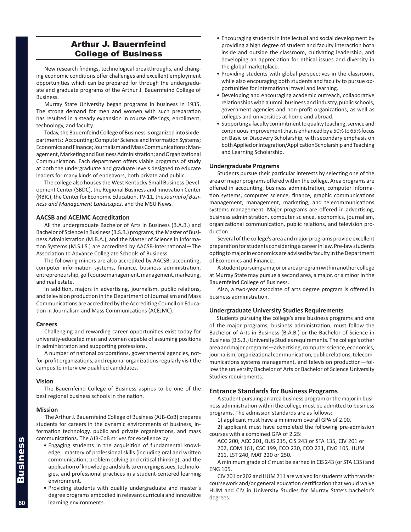### Arthur J. Bauernfeind College of Business

New research findings, technological breakthroughs, and changing economic conditions offer challenges and excellent employment opportunities which can be prepared for through the undergraduate and graduate programs of the Arthur J. Bauernfeind College of Business.

Murray State University began programs in business in 1935. The strong demand for men and women with such preparation has resulted in a steady expansion in course offerings, enrollment, technology, and faculty.

Today, the Bauernfeind College of Business is organized into six departments: Accounting; Computer Science and Information Systems; Economics and Finance; Journalism and Mass Communications; Management, Marketing and Business Administration; and Organizational Communication. Each department offers viable programs of study at both the undergraduate and graduate levels designed to educate leaders for many kinds of endeavors, both private and public.

The college also houses the West Kentucky Small Business Development Center (SBDC), the Regional Business and Innovation Center (RBIC), the Center for Economic Education, TV-11, the *Journal of Business and Management Landscapes*, and the MSU News.

#### **AACSB and ACEJMC Accreditation**

All the undergraduate Bachelor of Arts in Business (B.A.B.) and Bachelor of Science in Business (B.S.B.) programs, the Master of Business Administration (M.B.A.), and the Master of Science in Information Systems (M.S.I.S.) are accredited by AACSB-International—The Association to Advance Collegiate Schools of Business.

The following minors are also accredited by AACSB: accounting, computer information systems, finance, business administration, entrepreneurship, golf course management, management, marketing, and real estate.

In addition, majors in advertising, journalism, public relations, and television production in the Department of Journalism and Mass Communications are accredited by the Accrediting Council on Education in Journalism and Mass Communications (ACEJMC).

#### **Careers**

Challenging and rewarding career opportunities exist today for university-educated men and women capable of assuming positions in administration and supporting professions.

A number of national corporations, governmental agencies, notfor-profit organizations, and regional organizations regularly visit the campus to interview qualified candidates.

#### **Vision**

The Bauernfeind College of Business aspires to be one of the best regional business schools in the nation.

#### **Mission**

The Arthur J. Bauernfeind College of Business (AJB-CoB) prepares students for careers in the dynamic environments of business, information technology, public and private organizations, and mass communications. The AJB-CoB strives for excellence by:

- Engaging students in the acquisition of fundamental knowledge; mastery of professional skills (including oral and written communication, problem solving and critical thinking); and the application of knowledge and skills to emerging issues, technologies, and professional practices in a student-centered learning environment.
- Providing students with quality undergraduate and master's degree programs embodied in relevant curricula and innovative learning environments.
- Encouraging students in intellectual and social development by providing a high degree of student and faculty interaction both inside and outside the classroom, cultivating leadership, and developing an appreciation for ethical issues and diversity in the global marketplace.
- Providing students with global perspectives in the classroom, while also encouraging both students and faculty to pursue opportunities for international travel and learning.
- Developing and encouraging academic outreach, collaborative relationships with alumni, business and industry, public schools, government agencies and non-profit organizations, as well as colleges and universities at home and abroad.
- Supporting a faculty commitment to quality teaching, service and continuous improvement that is enhanced by a 50% to 65% focus on Basic or Discovery Scholarship, with secondary emphasis on both Applied or Integration/Application Scholarship and Teaching and Learning Scholarship.

#### **Undergraduate Programs**

Students pursue their particular interests by selecting one of the area or major programs offered within the college. Area programs are offered in accounting, business administration, computer information systems, computer science, finance, graphic communications management, management, marketing, and telecommunications systems management. Major programs are offered in advertising, business administration, computer science, economics, journalism, organizational communication, public relations, and television production.

Several of the college's area and major programs provide excellent preparation for students considering a career in law. Pre-law students opting to major in economics are advised by faculty in the Department of Economics and Finance.

A student pursuing a major or area program within another college at Murray State may pursue a second area, a major, or a minor in the Bauernfeind College of Business.

Also, a two-year associate of arts degree program is offered in business administration.

#### **Undergraduate University Studies Requirements**

Students pursuing the college's area business programs and one of the major programs, business administration, must follow the Bachelor of Arts in Business (B.A.B.) or the Bachelor of Science in Business (B.S.B.) University Studies requirements. The college's other area and major programs—advertising, computer science, economics, journalism, organizational communication, public relations, telecommunications systems management, and television production—follow the university Bachelor of Arts or Bachelor of Science University Studies requirements.

#### **Entrance Standards for Business Programs**

A student pursuing an area business program or the major in business administration within the college must be admitted to business programs. The admission standards are as follows:

1) applicant must have a minimum overall GPA of 2.00.

2) applicant must have completed the following pre-admission courses with a combined GPA of 2.25:

ACC 200, ACC 201, BUS 215, CIS 243 or STA 135, CIV 201 or 202, COM 161, CSC 199, ECO 230, ECO 231, ENG 105, HUM 211, LST 240, MAT 220 or 250.

A minimum grade of *C* must be earned in CIS 243 (or STA 135) and ENG 105.

CIV 201 or 202 and HUM 211 are waived for students with transfer coursework and/or general education certification that would waive HUM and CIV in University Studies for Murray State's bachelor's degrees.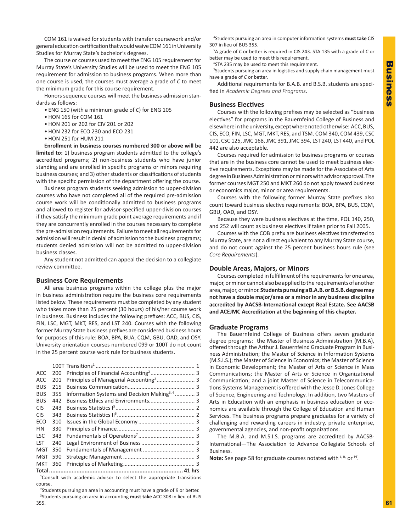COM 161 is waived for students with transfer coursework and/or general education certification that would waive COM 161 in University Studies for Murray State's bachelor's degrees.

 The course or courses used to meet the ENG 105 requirement for Murray State's University Studies will be used to meet the ENG 105 requirement for admission to business programs. When more than one course is used, the courses must average a grade of *C* to meet the minimum grade for this course requirement.

Honors sequence courses will meet the business admission standards as follows:

- ENG 150 (with a minimum grade of *C*) for ENG 105
- • HON 165 for COM 161
- • HON 201 or 202 for CIV 201 or 202
- HON 232 for ECO 230 and ECO 231
- HON 251 for HUM 211

 **Enrollment in business courses numbered 300 or above will be limited to:** 1) business program students admitted to the college's accredited programs; 2) non-business students who have junior standing and are enrolled in specific programs or minors requiring business courses; and 3) other students or classifications of students with the specific permission of the department offering the course.

Business program students seeking admission to upper-division courses who have not completed all of the required pre-admission course work will be conditionally admitted to business programs and allowed to register for advisor-specified upper-division courses if they satisfy the minimum grade point average requirements and if they are concurrently enrolled in the courses necessary to complete the pre-admission requirements. Failure to meet all requirements for admission will result in denial of admission to the business programs; students denied admission will not be admitted to upper-division business classes.

Any student not admitted can appeal the decision to a collegiate review committee.

#### **Business Core Requirements**

All area business programs within the college plus the major in business administration require the business core requirements listed below. These requirements must be completed by any student who takes more than 25 percent (30 hours) of his/her course work in business. Business includes the following prefixes: ACC, BUS, CIS, FIN, LSC, MGT, MKT, RES, and LST 240. Courses with the following former Murray State business prefixes are considered business hours for purposes of this rule: BOA, BPA, BUA, CQM, GBU, OAD, and OSY. University orientation courses numbered 099 or 100T do not count in the 25 percent course work rule for business students.

| <b>ACC</b> | 200 |                                                           |  |
|------------|-----|-----------------------------------------------------------|--|
| <b>ACC</b> | 201 |                                                           |  |
| <b>BUS</b> | 215 |                                                           |  |
| <b>BUS</b> | 355 | Information Systems and Decision Making <sup>3, 4</sup> 3 |  |
| <b>BUS</b> | 442 |                                                           |  |
| <b>CIS</b> | 243 |                                                           |  |
| <b>CIS</b> | 343 |                                                           |  |
| ECO        | 310 |                                                           |  |
| <b>FIN</b> | 330 |                                                           |  |
| <b>LSC</b> | 343 |                                                           |  |
| <b>LST</b> | 240 |                                                           |  |
| <b>MGT</b> | 350 |                                                           |  |
| MGT        | 590 |                                                           |  |
| <b>MKT</b> | 360 |                                                           |  |
|            |     |                                                           |  |

1 Consult with academic advisor to select the appropriate transitions course.

2 Students pursuing an area in accounting must have a grade of *B* or better. 3 Students pursuing an area in accounting **must take** ACC 308 in lieu of BUS 355.

4 Students pursuing an area in computer information systems **must take** CIS 307 in lieu of BUS 355.

5 A grade of *C* or better is required in CIS 243. STA 135 with a grade of *C* or better may be used to meet this requirement.

6 STA 235 may be used to meet this requirement.

<sup>7</sup>Students pursuing an area in logistics and supply chain management must have a grade of *C* or better.

Additional requirements for B.A.B. and B.S.B. students are specified in *Academic Degrees and Programs*.

#### **Business Electives**

Courses with the following prefixes may be selected as "business electives" for programs in the Bauernfeind College of Business and elsewhere in the university, except where noted otherwise: ACC, BUS, CIS, ECO, FIN, LSC, MGT, MKT, RES, and TSM. COM 340, COM 439, CSC 101, CSC 125, JMC 168, JMC 391, JMC 394, LST 240, LST 440, and POL 442 are also acceptable.

Courses required for admission to business programs or courses that are in the business core cannot be used to meet business elective requirements. Exceptions may be made for the Associate of Arts degree in Business Administration or minors with advisor approval. The former courses MGT 250 and MKT 260 do not apply toward business or economics major, minor or area requirements.

Courses with the following former Murray State prefixes also count toward business elective requirements: BOA, BPA, BUS, CQM, GBU, OAD, and OSY.

Because they were business electives at the time, POL 140, 250, and 252 will count as business electives if taken prior to Fall 2005.

Courses with the COB prefix are business electives transferred to Murray State, are not a direct equivalent to any Murray State course, and do not count against the 25 percent business hours rule (see *Core Requirements*).

#### **Double Areas, Majors, or Minors**

Courses completed in fulfillment of the requirements for one area, major, or minor cannot also be applied to the requirements of another area, major, or minor. **StudentspursuingaB.A.B.orB.S.B.degreemay not have a double major/area or a minor in any business discipline accredited by AACSB-International except Real Estate. See AACSB and ACEJMC Accreditation at the beginning of this chapter.**

#### **Graduate Programs**

The Bauernfeind College of Business offers seven graduate degree programs: the Master of Business Administration (M.B.A), offered through the Arthur J. Bauernfeind Graduate Program in Business Administration; the Master of Science in Information Systems (M.S.I.S.); the Master of Science in Economics; the Master of Science in Economic Development; the Master of Arts or Science in Mass Communications; the Master of Arts or Science in Organizational Communication; and a joint Master of Science in Telecommunications Systems Management is offered with the Jesse D. Jones College of Science, Engineering and Technology. In addition, two Masters of Arts in Education with an emphasis in business education or economics are available through the College of Education and Human Services. The business programs prepare graduates for a variety of challenging and rewarding careers in industry, private enterprise, governmental agencies, and non-profit organizations.

The M.B.A. and M.S.I.S. programs are accredited by AACSB-International—The Association to Advance Collegiate Schools of Business.

Note: See page 58 for graduate courses notated with L, R, or PT.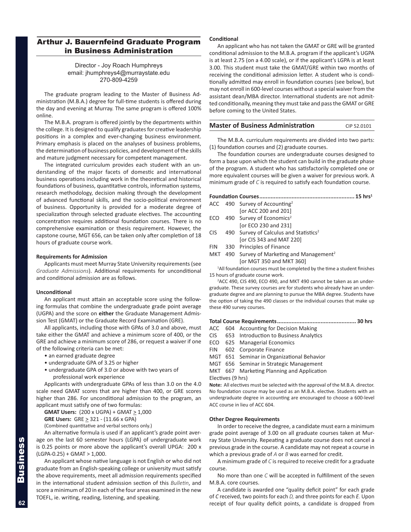### <span id="page-3-0"></span>Arthur J. Bauernfeind Graduate Program in Business Administration

#### Director - Joy Roach Humphreys email: jhumphreys4@murraystate.edu 270-809-4259

The graduate program leading to the Master of Business Administration (M.B.A.) degree for full-time students is offered during the day and evening at Murray. The same program is offered 100% online.

The M.B.A. program is offered jointly by the departments within the college. It is designed to qualify graduates for creative leadership positions in a complex and ever-changing business environment. Primary emphasis is placed on the analyses of business problems, the determination of business policies, and development of the skills and mature judgment necessary for competent management.

The integrated curriculum provides each student with an understanding of the major facets of domestic and international business operations including work in the theoretical and historical foundations of business, quantitative controls, information systems, research methodology, decision making through the development of advanced functional skills, and the socio-political environment of business. Opportunity is provided for a moderate degree of specialization through selected graduate electives. The accounting concentration requires additional foundation courses. There is no comprehensive examination or thesis requirement. However, the capstone course, MGT 656, can be taken only after completion of 18 hours of graduate course work.

#### **Requirements for Admission**

Applicants must meet Murray State University requirements (see *Graduate Admissions*). Additional requirements for unconditional and conditional admission are as follows.

#### **Unconditional**

An applicant must attain an acceptable score using the following formulas that combine the undergraduate grade point average (UGPA) and the score on **either** the Graduate Management Admission Test (GMAT) or the Graduate Record Examination (GRE).

All applicants, including those with GPAs of 3.0 and above, must take either the GMAT and achieve a minimum score of 400, or the GRE and achieve a minimum score of 286, or request a waiver if one of the following criteria can be met:

- an earned graduate degree
- undergraduate GPA of 3.25 or higher
- undergraduate GPA of 3.0 or above with two years of
- professional work experience

Applicants with undergraduate GPAs of less than 3.0 on the 4.0 scale need GMAT scores that are higher than 400, or GRE scores higher than 286. For unconditional admission to the program, an applicant must satisfy one of two formulas:

**GMAT Users:** (200 x UGPA) + GMAT ≥ 1,000

**GRE Users:** GRE > 321 - (11.66 x GPA)

(Combined quantitative and verbal sections only.)

An alternative formula is used if an applicant's grade point average on the last 60 semester hours (LGPA) of undergraduate work is 0.25 points or more above the applicant's overall UPGA: 200 x  $(LGPA-0.25) + GMAT > 1,000.$ 

An applicant whose native language is not English or who did not graduate from an English-speaking college or university must satisfy the above requirements, meet all admission requirements specified in the international student admission section of this *Bulletin*, and score a minimum of 20 in each of the four areas examined in the new TOEFL, ie. writing, reading, listening, and speaking.

#### **Conditional**

An applicant who has not taken the GMAT or GRE will be granted conditional admission to the M.B.A. program if the applicant's UGPA is at least 2.75 (on a 4.00 scale), or if the applicant's LGPA is at least 3.00. This student must take the GMAT/GRE within two months of receiving the conditional admission letter. A student who is conditionally admitted may enroll in foundation courses (see below), but may not enroll in 600-level courses without a special waiver from the assistant dean/MBA director. International students are not admitted conditionally, meaning they must take and pass the GMAT or GRE before coming to the United States.

#### **Master of Business Administration** CIP 52.0101

The M.B.A. curriculum requirements are divided into two parts: (1) foundation courses and (2) graduate courses.

The foundation courses are undergraduate courses designed to form a base upon which the student can build in the graduate phase of the program. A student who has satisfactorily completed one or more equivalent courses will be given a waiver for previous work. A minimum grade of *C* is required to satisfy each foundation course.

**Foundation Courses........................................................... 15 hrs1** ACC 490 Survey of Accounting<sup>2</sup> [or ACC 200 and 201] ECO 490 Survey of Economics<sup>2</sup> [or ECO 230 and 231] CIS 490 Survey of Calculus and Statistics<sup>2</sup> [or CIS 343 and MAT 220] FIN 330 Principles of Finance MKT 490 Survey of Marketing and Management<sup>2</sup>

[or MGT 350 and MKT 360]

<sup>1</sup>All foundation courses must be completed by the time a student finishes 15 hours of graduate course work.

<sup>2</sup>ACC 490, CIS 490, ECO 490, and MKT 490 cannot be taken as an undergraduate. These survey courses are for students who already have an undergraduate degree and are planning to pursue the MBA degree. Students have the option of taking the 490 classes or the individual courses that make up these 490 survey courses.

**Total Course Requirements................................................. 30 hrs**

- ACC 604 Accounting for Decision Making
- CIS 653 Introduction to Business Analytics
- ECO 625 Managerial Economics
- FIN 602 Corporate Finance
- MGT 651 Seminar in Organizational Behavior
- MGT 656 Seminar in Strategic Management
- MKT 667 Marketing Planning and Application

Electives (9 hrs)

**Note:** All electives must be selected with the approval of the M.B.A. director. No foundation course may be used as an M.B.A. elective. Students with an undergraduate degree in accounting are encouraged to choose a 600-level ACC course in lieu of ACC 604.

#### **Other Degree Requirements**

In order to receive the degree, a candidate must earn a minimum grade point average of 3.00 on all graduate courses taken at Murray State University. Repeating a graduate course does not cancel a previous grade in the course. A candidate may not repeat a course in which a previous grade of *A* or *B* was earned for credit.

A minimum grade of *C* is required to receive credit for a graduate course.

No more than one *C* will be accepted in fulfillment of the seven M.B.A. core courses.

A candidate is awarded one "quality deficit point" for each grade of *C* received, two points for each *D,* and three points for each *E.* Upon receipt of four quality deficit points, a candidate is dropped from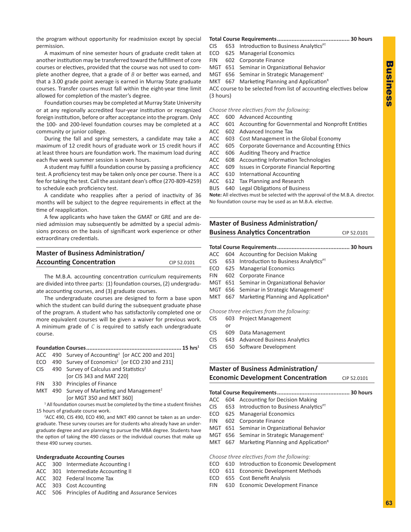the program without opportunity for readmission except by special permission.

A maximum of nine semester hours of graduate credit taken at another institution may be transferred toward the fulfillment of core courses or electives, provided that the course was not used to complete another degree, that a grade of *B* or better was earned, and that a 3.00 grade point average is earned in Murray State graduate courses. Transfer courses must fall within the eight-year time limit allowed for completion of the master's degree.

Foundation courses may be completed at Murray State University or at any regionally accredited four-year institution or recognized foreign institution, before or after acceptance into the program. Only the 100- and 200-level foundation courses may be completed at a community or junior college.

During the fall and spring semesters, a candidate may take a maximum of 12 credit hours of graduate work or 15 credit hours if at least three hours are foundation work. The maximum load during each five week summer session is seven hours.

A student may fulfill a foundation course by passing a proficiency test. A proficiency test may be taken only once per course. There is a fee for taking the test. Call the assistant dean's office (270-809-4259) to schedule each proficiency test.

A candidate who reapplies after a period of inactivity of 36 months will be subject to the degree requirements in effect at the time of reapplication.

A few applicants who have taken the GMAT or GRE and are denied admission may subsequently be admitted by a special admissions process on the basis of significant work experience or other extraordinary credentials.

| <b>Master of Business Administration/</b> |             |
|-------------------------------------------|-------------|
| <b>Accounting Concentration</b>           | CIP 52.0101 |

The M.B.A. accounting concentration curriculum requirements are divided into three parts: (1) foundation courses, (2) undergraduate accounting courses, and (3) graduate courses.

The undergraduate courses are designed to form a base upon which the student can build during the subsequent graduate phase of the program. A student who has satisfactorily completed one or more equivalent courses will be given a waiver for previous work. A minimum grade of *C* is required to satisfy each undergraduate course.

|--|--|

- $ACC$  490 Survey of Accounting<sup>2</sup> [or ACC 200 and 201]
- ECO 490 Survey of Economics<sup>2</sup> [or ECO 230 and 231]
- CIS 490 Survey of Calculus and Statistics<sup>2</sup>
- [or CIS 343 and MAT 220]
- FIN 330 Principles of Finance
- MKT 490 Survey of Marketing and Management<sup>2</sup> [or MGT 350 and MKT 360]

<sup>1</sup> All foundation courses must be completed by the time a student finishes 15 hours of graduate course work.

2 ACC 490, CIS 490, ECO 490, and MKT 490 cannot be taken as an undergraduate. These survey courses are for students who already have an undergraduate degree and are planning to pursue the MBA degree. Students have the option of taking the 490 classes or the individual courses that make up these 490 survey courses.

#### **Undergraduate Accounting Courses**

- ACC 300 Intermediate Accounting I
- ACC 301 Intermediate Accounting II
- ACC 302 Federal Income Tax
- ACC 303 Cost Accounting
- ACC 506 Principles of Auditing and Assurance Services

### **Total Course Requirements............................................. 30 hours**

- $CIS$  653 Introduction to Business Analytics<sup>PT</sup>
- ECO 625 Managerial Economics
- FIN 602 Corporate Finance
- MGT 651 Seminar in Organizational Behavior
- MGT 656 Seminar in Strategic Management<sup>L</sup>

MKT  $667$  Marketing Planning and Application<sup>R</sup> ACC course to be selected from list of accounting electives below

(3 hours)

*Choose three electives from the following:*

- ACC 600 Advanced Accounting
- ACC 601 Accounting for Governmental and Nonprofit Entities
- ACC 602 Advanced Income Tax
- ACC 603 Cost Management in the Global Economy
- ACC 605 Corporate Governance and Accounting Ethics
- ACC 606 Auditing Theory and Practice
- ACC 608 Accounting Information Technologies
- ACC 609 Issues in Corporate Financial Reporting
- ACC 610 International Accounting
- ACC 612 Tax Planning and Research
- BUS 640 Legal Obligations of Business

**Note:** All electives must be selected with the approval of the M.B.A. director. No foundation course may be used as an M.B.A. elective.

|            | <b>Master of Business Administration/</b>  |                                                  |             |  |
|------------|--------------------------------------------|--------------------------------------------------|-------------|--|
|            |                                            | <b>Business Analytics Concentration</b>          | CIP 52.0101 |  |
|            |                                            |                                                  |             |  |
|            |                                            |                                                  |             |  |
| ACC        | 604                                        | <b>Accounting for Decision Making</b>            |             |  |
| CIS -      | 653                                        | Introduction to Business Analytics <sup>PT</sup> |             |  |
| ECO        | 625                                        | <b>Managerial Economics</b>                      |             |  |
| <b>FIN</b> | 602                                        | Corporate Finance                                |             |  |
| MGT        | 651                                        | Seminar in Organizational Behavior               |             |  |
| MGT        | 656                                        | Seminar in Strategic Management <sup>L</sup>     |             |  |
| MKT        | 667                                        | Marketing Planning and Application <sup>R</sup>  |             |  |
|            | Choose three electives from the following: |                                                  |             |  |
| <b>CIS</b> | 603                                        | <b>Project Management</b>                        |             |  |
|            | or                                         |                                                  |             |  |
| CIS.       | 609                                        | Data Management                                  |             |  |
| CIS.       | 643                                        | <b>Advanced Business Analytics</b>               |             |  |
| <b>CIS</b> | 650                                        | Software Development                             |             |  |
|            |                                            |                                                  |             |  |

### **Master of Business Administration/ Economic Development Concentration** CIP 52.0101

#### **Total Course Requirements............................................. 30 hours**

- ACC 604 Accounting for Decision Making
- CIS 653 Introduction to Business Analytics $PT$
- ECO 625 Managerial Economics
- FIN 602 Corporate Finance
- MGT 651 Seminar in Organizational Behavior
- MGT 656 Seminar in Strategic Management<sup>L</sup>
- MKT  $667$  Marketing Planning and Application<sup>R</sup>

*Choose three electives from the following:*

- ECO 610 Introduction to Economic Development
- ECO 611 Economic Development Methods
- ECO 655 Cost Benefit Analysis
- FIN 610 Economic Development Finance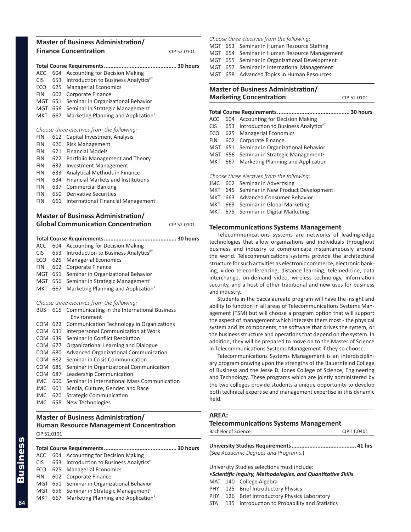### <span id="page-5-0"></span>**Master of Business Administration/ Finance Concentration** CIP 52.0101

| ACC        | 604 | <b>Accounting for Decision Making</b>            |
|------------|-----|--------------------------------------------------|
| <b>CIS</b> | 653 | Introduction to Business Analytics <sup>PT</sup> |
| ECO        | 625 | <b>Managerial Economics</b>                      |
| <b>FIN</b> | 602 | Corporate Finance                                |
| MGT        | 651 | Seminar in Organizational Behavior               |
| <b>MGT</b> | 656 | Seminar in Strategic Management <sup>L</sup>     |
| MKT.       | 667 | Marketing Planning and Application <sup>R</sup>  |
|            |     |                                                  |
|            |     | Choose three electives from the following:       |
| <b>FIN</b> | 612 | Capital Investment Analysis                      |
| <b>FIN</b> | 620 | Risk Management                                  |
| <b>FIN</b> |     | 621 Financial Models                             |
| <b>FIN</b> | 622 | Portfolio Management and Theory                  |
| <b>FIN</b> | 632 | <b>Investment Management</b>                     |
| <b>FIN</b> | 633 | <b>Analytical Methods in Finance</b>             |
| <b>FIN</b> | 634 | <b>Financial Markets and Institutions</b>        |
| <b>FIN</b> | 637 | <b>Commercial Banking</b>                        |
| <b>FIN</b> | 650 | Derivative Securities                            |
| FIN        | 661 | International Financial Management               |
|            |     |                                                  |

#### **Master of Business Administration/ Global Communication Concentration** CIP 52.0101

| ACC        | 604 | <b>Accounting for Decision Making</b>                              |
|------------|-----|--------------------------------------------------------------------|
| <b>CIS</b> | 653 | Introduction to Business Analytics <sup>PT</sup>                   |
| ECO        | 625 | <b>Managerial Economics</b>                                        |
| FIN        | 602 | Corporate Finance                                                  |
| MGT        | 651 | Seminar in Organizational Behavior                                 |
| MGT        | 656 | Seminar in Strategic Management <sup>L</sup>                       |
| MKT        | 667 | Marketing Planning and Application <sup>R</sup>                    |
|            |     | Choose three electives from the following:                         |
|            |     | BUS 615 Communicating in the International Business<br>Environment |
| COM 622    |     | Communication Technology in Organizations                          |
| COM 631    |     | Interpersonal Communication at Work                                |
| COM 639    |     | Seminar in Conflict Resolution                                     |
| COM 677    |     | Organizational Learning and Dialogue                               |
| COM COO    |     | Advanced Organizational Communication                              |

- COM 680 Advanced Organizational Communication
- COM 682 Seminar in Crisis Communication
- COM 685 Seminar in Organizational Communication
- COM 687 Leadership Communication
- JMC 600 Seminar in International Mass Communication
- JMC 601 Media, Culture, Gender, and Race
- JMC 620 Strategic Communication
- JMC 658 New Technologies

### **Master of Business Administration/ Human Resource Management Concentration** CIP 52.0101

**Total Course Requirements............................................. 30 hours** ACC 604 Accounting for Decision Making  $CIS$  653 Introduction to Business Analytics<sup>PT</sup> ECO 625 Managerial Economics FIN 602 Corporate Finance MGT 651 Seminar in Organizational Behavior MGT 656 Seminar in Strategic Management<sup>L</sup> MKT  $667$  Marketing Planning and Application<sup>R</sup>

*Choose three electives from the following:*

- MGT 653 Seminar in Human Resource Staffing
- MGT 654 Seminar in Human Resource Management
- MGT 655 Seminar in Organizational Development
- MGT 657 Seminar in International Management
- MGT 658 Advanced Topics in Human Resources

### **Master of Business Administration/ Marketing Concentration** CIP 52.0101

| ACC  |               | 604 Accounting for Decision Making                   |
|------|---------------|------------------------------------------------------|
| CIS. |               | 653 Introduction to Business Analytics <sup>PT</sup> |
|      |               | ECO 625 Managerial Economics                         |
| FIN  | 602           | Corporate Finance                                    |
| MGT  |               | 651 Seminar in Organizational Behavior               |
|      |               | MGT 656 Seminar in Strategic Management <sup>L</sup> |
| MKT  | 667           | Marketing Planning and Application                   |
|      |               | Choose three electives from the following:           |
|      |               | JMC 602 Seminar in Advertising                       |
| MKT  |               | 645 Seminar in New Product Development               |
| MKT  |               | 663 Advanced Consumer Behavior                       |
|      |               | MKT 669 Seminar in Global Marketing                  |
| .    | $\sim$ $\sim$ | Cassinas in Dialtal Maulustine                       |

### MKT 675 Seminar in Digital Marketing

#### **Telecommunications Systems Management**

Telecommunications systems are networks of leading-edge technologies that allow organizations and individuals throughout business and industry to communicate instantaneously around the world. Telecommunications systems provide the architectural structure for such activities as electronic commerce, electronic banking, video teleconferencing, distance learning, telemedicine, data interchange, on-demand video, wireless technology, information security, and a host of other traditional and new uses for business and industry.

Students in the baccalaureate program will have the insight and ability to function in all areas of Telecommunications Systems Management (TSM) but will choose a program option that will support the aspect of management which interests them most - the physical system and its components, the software that drives the system, or the business structure and operations that depend on the system. In addition, they will be prepared to move on to the Master of Science in Telecommunications Systems Management if they so choose.

Telecommunications Systems Management is an interdisciplinary program drawing upon the strengths of the Bauernfeind College of Business and the Jesse D. Jones College of Science, Engineering and Technology. These programs which are jointly administered by the two colleges provide students a unique opportunity to develop both technical expertise and management expertise in this dynamic field.

#### **AREA:**

#### **Telecommunications Systems Management**

| Bachelor of Science | CIP 11.0401 |
|---------------------|-------------|
|                     |             |

| (See Academic Degrees and Programs.) |  |
|--------------------------------------|--|

University Studies selections must include:

•*Scientific Inquiry, Methodologies, and Quantitative Skills*

- MAT 140 College Algebra
- PHY 125 Brief Introductory Physics
- PHY 126 Brief Introductory Physics Laboratory
- STA 135 Introduction to Probability and Statistics

Business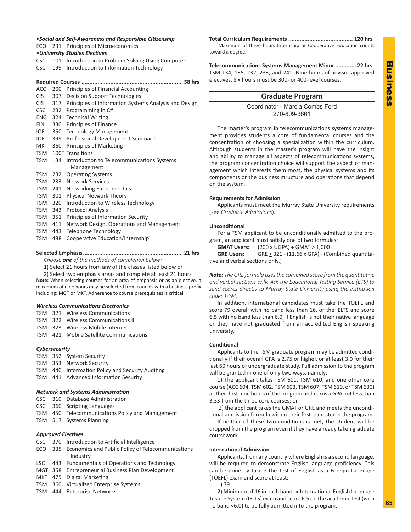#### <span id="page-6-0"></span>•*Social and Self-Awareness and Responsible Citizenship* ECO 231 Principles of Microeconomics

- •*University Studies Electives*
- CSC 101 Introduction to Problem Solving Using Computers
- CSC 199 Introduction to Information Technology

#### **Required Courses ............................................................... 58 hrs**

- ACC 200 Principles of Financial Accounting
- CIS 307 Decision Support Technologies
- CIS 317 Principles of Information Systems Analysis and Design
- CSC 232 Programming in C#
- ENG 324 Technical Writing
- FIN 330 Principles of Finance
- IOE 350 Technology Management
- IOE 399 Professional Development Seminar I
- MKT 360 Principles of Marketing TSM 100T Transitions
- TSM 134 Introduction to Telecommunications Systems Management TSM 232 Operating Systems
- TSM 233 Network Services
- TSM 241 Networking Fundamentals
- TSM 301 Physical Network Theory
- TSM 320 Introduction to Wireless Technology
- TSM 343 Protocol Analysis
- TSM 351 Principles of Information Security
- TSM 411 Network Design, Operations and Management
- TSM 443 Telephone Technology
- TSM 488 Cooperative Education/Internship<sup>1</sup>

#### **Selected Emphasis.............................................................. 21 hrs**

*Choose one of the methods of completion below:*

1) Select 21 hours from any of the classes listed below or

including: MGT or MKT. Adherence to course prerequisites is critical.

2) Select two emphasis areas and complete at least 21 hours **Note:** When selecting courses for an area of emphasis or as an elective, a maximum of nine hours may be selected from courses with a business prefix

#### *Wireless Communications Electronics*

- TSM 321 Wireless Communications
- TSM 322 Wireless Communications II
- TSM 323 Wireless Mobile Internet
- TSM 421 Mobile Satellite Communications

#### *Cybersecurity*

- TSM 352 System Security
- TSM 353 Network Security
- TSM 440 Information Policy and Security Auditing
- TSM 441 Advanced Information Security

#### *Network and Systems Administration*

- CSC 310 Database Administration
- CSC 360 Scripting Languages
- TSM 450 Telecommunications Policy and Management
- TSM 517 Systems Planning

#### *Approved Electives*

- CSC 370 Introduction to Artificial Intelligence
- ECO 335 Economics and Public Policy of Telecommunications Industry
- LSC 443 Fundamentals of Operations and Technology
- MGT 358 Entrepreneurial Business Plan Development
- MKT 475 Digital Marketing
- TSM 360 Virtualized Enterprise Systems
- TSM 444 Enterprise Networks

**Total Curriculum Requirements ........................................ 120 hrs** <sup>1</sup>Maximum of three hours Internship or Cooperative Education counts toward a degree.

**Telecommunications Systems Management Minor............. 22 hrs** TSM 134, 135, 232, 233, and 241. Nine hours of advisor approved electives. Six hours must be 300- or 400-level courses.

### **Graduate Program**

Coordinator - Marcia Combs Ford 270-809-3661

The master's program in telecommunications systems management provides students a core of fundamental courses and the concentration of choosing a specialization within the curriculum. Although students in the master's program will have the insight and ability to manage all aspects of telecommunications systems, the program concentration choice will support the aspect of management which interests them most, the physical systems and its components or the business structure and operations that depend on the system.

#### **Requirements for Admission**

Applicants must meet the Murray State University requirements (see *Graduate Admissions*).

#### **Unconditional**

For a TSM applicant to be unconditionally admitted to the program, an applicant must satisfy one of two formulas:

**GMAT Users:** (200 x UGPA) + GMAT  $\geq$  1,000

**GRE Users:** GRE  $\geq$  321 - (11.66 x GPA) - (Combined quantitative and verbal sections only.)

*Note: The GRE formula uses the combined score from the quantitative and verbal sections only. Ask the Educational Testing Service (ETS) to send scores directly to Murray State University using the institution code: 1494.*

In addition, international candidates must take the TOEFL and score 79 overall with no band less than 16, or the IELTS and score 6.5 with no band less than 6.0, if English is not their native language or they have not graduated from an accredited English speaking university.

#### **Conditional**

Applicants to the TSM graduate program may be admitted conditionally if their overall GPA is 2.75 or higher, or at least 3.0 for their last 60 hours of undergraduate study. Full admission to the program will be granted in one of only two ways, namely:

1) The applicant takes TSM 601, TSM 610, and one other core course (ACC 604, TSM 602, TSM 603, TSM 607, TSM 610, or TSM 630) as their first nine hours of the program and earns a GPA not less than 3.33 from the three core courses; or

 2) the applicant takes the GMAT or GRE and meets the unconditional admission formula within their first semester in the program.

If neither of these two conditions is met, the student will be dropped from the program even if they have already taken graduate coursework.

#### **International Admission**

Applicants, from any country where English is a second language, will be required to demonstrate English language proficiency. This can be done by taking the Test of English as a Foreign Language (TOEFL) exam and score at least:

1) 79

2) Minimum of 16 in each band or International English Language Testing System (IELTS) exam and score 6.5 on the academic test (with no band <6.0) to be fully admitted into the program.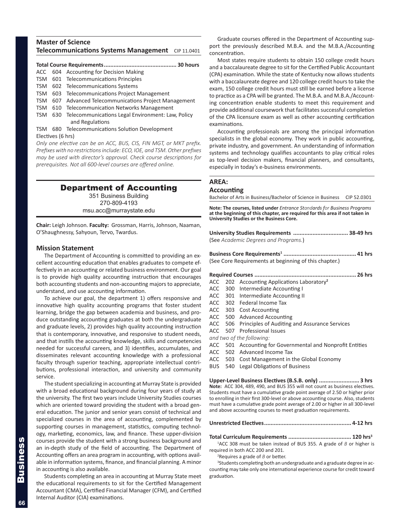### <span id="page-7-0"></span>**Master of Science Telecommunications Systems Management** CIP 11.0401

### **Total Course Requirements............................................. 30 hours**

- ACC 604 Accounting for Decision Making
- TSM 601 Telecommunications Principles
- TSM 602 Telecommunications Systems
- TSM 603 Telecommunications Project Management
- TSM 607 Advanced Telecommunications Project Management
- TSM 610 Telecommunication Networks Management TSM 630 Telecommunications Legal Environment: Law, Policy
- and Regulations TSM 680 Telecommunications Solution Development

Electives (6 hrs)

*Only one elective can be an ACC, BUS, CIS, FIN MGT, or MKT prefix. Prefixes with no restrictions include: ECO, IOE, and TSM. Other prefixes may be used with director's approval. Check course descriptions for prerequisites. Not all 600-level courses are offered online.*

### Department of Accounting

351 Business Building 270-809-4193 msu.acc@murraystate.edu

**Chair:** Leigh Johnson. **Faculty:** Grossman, Harris, Johnson, Naaman, O'Shaughnessy, Sahyoun, Tervo, Twardus.

#### **Mission Statement**

The Department of Accounting is committed to providing an excellent accounting education that enables graduates to compete effectively in an accounting or related business environment. Our goal is to provide high quality accounting instruction that encourages both accounting students and non-accounting majors to appreciate, understand, and use accounting information.

To achieve our goal, the department 1) offers responsive and innovative high quality accounting programs that foster student learning, bridge the gap between academia and business, and produce outstanding accounting graduates at both the undergraduate and graduate levels, 2) provides high quality accounting instruction that is contemporary, innovative, and responsive to student needs, and that instills the accounting knowledge, skills and competencies needed for successful careers, and 3) identifies, accumulates, and disseminates relevant accounting knowledge with a professional faculty through superior teaching, appropriate intellectual contributions, professional interaction, and university and community service.

The student specializing in accounting at Murray State is provided with a broad educational background during four years of study at the university. The first two years include University Studies courses which are oriented toward providing the student with a broad general education. The junior and senior years consist of technical and specialized courses in the area of accounting, complemented by supporting courses in management, statistics, computing technology, marketing, economics, law, and finance. These upper-division courses provide the student with a strong business background and an in-depth study of the field of accounting. The Department of Accounting offers an area program in accounting, with options available in information systems, finance, and financial planning. A minor in accounting is also available.

Students completing an area in accounting at Murray State meet the educational requirements to sit for the Certified Management Accountant (CMA), Certified Financial Manager (CFM), and Certified Internal Auditor (CIA) examinations.

Graduate courses offered in the Department of Accounting support the previously described M.B.A. and the M.B.A./Accounting concentration.

Most states require students to obtain 150 college credit hours and a baccalaureate degree to sit for the Certified Public Accountant (CPA) examination. While the state of Kentucky now allows students with a baccalaureate degree and 120 college credit hours to take the exam, 150 college credit hours must still be earned before a license to practice as a CPA will be granted. The M.B.A. and M.B.A./Accounting concentration enable students to meet this requirement and provide additional coursework that facilitates successful completion of the CPA licensure exam as well as other accounting certification examinations.

Accounting professionals are among the principal information specialists in the global economy. They work in public accounting, private industry, and government. An understanding of information systems and technology qualifies accountants to play critical roles as top-level decision makers, financial planners, and consultants, especially in today's e-business environments.

#### **AREA:**

#### **Accounting**

Bachelor of Arts in Business/Bachelor of Science in Business CIP 52.0301

**Note: The courses, listed under** *Entrance Standards for Business Programs* **at the beginning of this chapter, are required for this area if not taken in University Studies or the Business Core.** 

**University Studies Requirements .................................. 38-49 hrs** (See *Academic Degrees and Programs.*)

**Business Core Requirements1 ............................................. 41 hrs** (See Core Requirements at beginning of this chapter.)

#### **Required Courses ............................................................... 26 hrs**

- ACC 202 Accounting Applications Laboratory**<sup>2</sup>**
- ACC 300 Intermediate Accounting I
- ACC 301 Intermediate Accounting II
- ACC 302 Federal Income Tax
- ACC 303 Cost Accounting
- ACC 500 Advanced Accounting
- ACC 506 Principles of Auditing and Assurance Services
- ACC 507 Professional Issues

*and two of the following:*

- ACC 501 Accounting for Governmental and Nonprofit Entities
- ACC 502 Advanced Income Tax
- ACC 503 Cost Management in the Global Economy
- BUS 540 Legal Obligations of Business

**Upper-Level Business Electives (B.S.B. only) ......................... 3 hrs Note:** ACC 304, 489, 490, and BUS 355 will not count as business electives. Students must have a cumulative grade point average of 2.50 or higher prior to enrolling in their first 300-level or above accounting course. Also, students must have a cumulative grade point average of 2.00 or higher in all 300-level and above accounting courses to meet graduation requirements.

#### **Unrestricted Electives...................................................... 4-12 hrs**

**Total Curriculum Requirements ....................................... 120 hrs3**

1 ACC 308 must be taken instead of BUS 355. A grade of *B* or higher is required in both ACC 200 and 201.

2 Requires a grade of *B* or better.

<sup>3</sup>Students completing both an undergraduate and a graduate degree in accounting may take only one international experience course for credit toward graduation.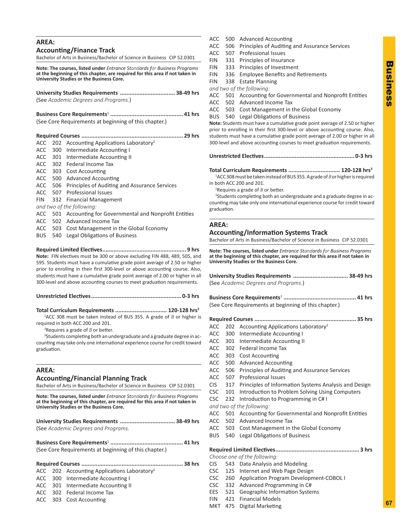## **AREA:**

**Accounting/Finance Track**

Bachelor of Arts in Business/Bachelor of Science in Business CIP 52.0301

**Note: The courses, listed under** *Entrance Standards for Business Programs* **at the beginning of this chapter, are required for this area if not taken in University Studies or the Business Core.** 

**University Studies Requirements .................................. 38-49 hrs** (See *Academic Degrees and Programs.*)

**Business Core Requirements**<sup>1</sup> **............................................. 41 hrs** (See Core Requirements at beginning of this chapter.)

|  | ACC 202 Accounting Applications Laboratory <sup>2</sup>    |
|--|------------------------------------------------------------|
|  | ACC 300 Intermediate Accounting I                          |
|  | ACC 301 Intermediate Accounting II                         |
|  | ACC 302 Federal Income Tax                                 |
|  | ACC 303 Cost Accounting                                    |
|  | ACC 500 Advanced Accounting                                |
|  | ACC 506 Principles of Auditing and Assurance Services      |
|  | ACC 507 Professional Issues                                |
|  | FIN 332 Financial Management                               |
|  | and two of the following:                                  |
|  | ACC 501 Accounting for Governmental and Nonprofit Entities |
|  | ACC 502 Advanced Income Tax                                |
|  | ACC 503 Cost Management in the Global Economy              |
|  |                                                            |

BUS 540 Legal Obligations of Business

**Required Limited Electives.................................................... 9 hrs Note:** FIN electives must be 300 or above excluding FIN 488, 489, 505, and 595. Students must have a cumulative grade point average of 2.50 or higher prior to enrolling in their first 300-level or above accounting course. Also, students must have a cumulative grade point average of 2.00 or higher in all 300-level and above accounting courses to meet graduation requirements.

**Unrestricted Electives........................................................ 0-3 hrs**

**Total Curriculum Requirements ................................ 120-128 hrs3**

1 ACC 308 must be taken instead of BUS 355. A grade of *B* or higher is required in both ACC 200 and 201.

2 Requires a grade of *B* or better.

<sup>3</sup>Students completing both an undergraduate and a graduate degree in accounting may take only one international experience course for credit toward graduation.

#### **AREA:**

#### **Accounting/Financial Planning Track**

Bachelor of Arts in Business/Bachelor of Science in Business CIP 52.0301

**Note: The courses, listed under** *Entrance Standards for Business Programs* **at the beginning of this chapter, are required for this area if not taken in University Studies or the Business Core.** 

| University Studies Requirements  38-49 hrs |  |
|--------------------------------------------|--|
| (See Academic Degrees and Programs.        |  |

**Business Core Requirements**<sup>1</sup> **............................................. 41 hrs** (See Core Requirements at beginning of this chapter.)

|  | $ACC$ 202 Accounting Applications Laboratory <sup>2</sup> |
|--|-----------------------------------------------------------|

- ACC 300 Intermediate Accounting I
- ACC 301 Intermediate Accounting II
- ACC 302 Federal Income Tax
- ACC 303 Cost Accounting
- ACC 500 Advanced Accounting
- ACC 506 Principles of Auditing and Assurance Services
- ACC 507 Professional Issues
- FIN 331 Principles of Insurance
- FIN 333 Principles of Investment
- FIN 336 Employee Benefits and Retirements
- FIN 338 Estate Planning

*and two of the following:*

- ACC 501 Accounting for Governmental and Nonprofit Entities
- ACC 502 Advanced Income Tax
- ACC 503 Cost Management in the Global Economy BUS 540 Legal Obligations of Business

**Note:** Students must have a cumulative grade point average of 2.50 or higher prior to enrolling in their first 300-level or above accounting course. Also, students must have a cumulative grade point average of 2.00 or higher in all 300-level and above accounting courses to meet graduation requirements.

**Unrestricted Electives........................................................ 0-3 hrs**

**Total Curriculum Requirements ................................ 120-128 hrs3**

1 ACC 308 must be taken instead of BUS 355. A grade of *B* or higher is required in both ACC 200 and 201.

2 Requires a grade of *B* or better.

<sup>3</sup>Students completing both an undergraduate and a graduate degree in accounting may take only one international experience course for credit toward graduation.

#### **AREA:**

**Accounting/Information Systems Track**

Bachelor of Arts in Business/Bachelor of Science in Business CIP 52.0301

**Note: The courses, listed under** *Entrance Standards for Business Programs* **at the beginning of this chapter, are required for this area if not taken in University Studies or the Business Core.**

**University Studies Requirements .................................. 38-49 hrs** (See *Academic Degrees and Programs.*)

**Business Core Requirements**<sup>1</sup> **............................................. 41 hrs** (See Core Requirements at beginning of this chapter.)

**Required Courses ............................................................... 35 hrs**

- ACC 202 Accounting Applications Laboratory<sup>2</sup>
- ACC 300 Intermediate Accounting I
- ACC 301 Intermediate Accounting II
- ACC 302 Federal Income Tax
- ACC 303 Cost Accounting
- ACC 500 Advanced Accounting
- ACC 506 Principles of Auditing and Assurance Services
- ACC 507 Professional Issues
- CIS 317 Principles of Information Systems Analysis and Design
- CSC 101 Introduction to Problem Solving Using Computers
- CSC 232 Introduction to Programming in C# I
- *and two of the following:*
- ACC 501 Accounting for Governmental and Nonprofit Entities
- ACC 502 Advanced Income Tax
- ACC 503 Cost Management in the Global Economy
- BUS 540 Legal Obligations of Business

**Required Limited Electives.................................................... 3 hrs**

*Choose one of the following:*

- CIS 543 Data Analysis and Modeling
- CSC 125 Internet and Web Page Design
- CSC 260 Application Program Development-COBOL I
- CSC 332 Advanced Programming in C#
- EES 521 Geographic Information Systems
- FIN 421 Financial Models
- MKT 475 Digital Marketing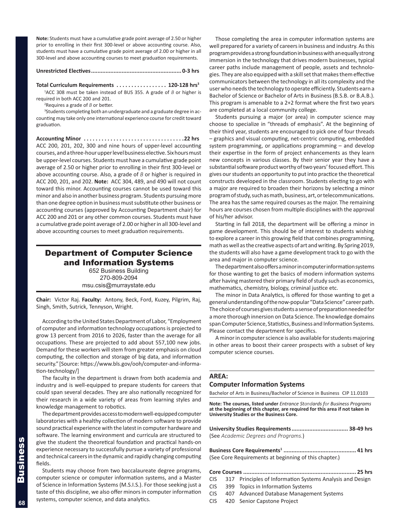<span id="page-9-0"></span>**Note:** Students must have a cumulative grade point average of 2.50 or higher prior to enrolling in their first 300-level or above accounting course. Also, students must have a cumulative grade point average of 2.00 or higher in all 300-level and above accounting courses to meet graduation requirements.

#### **Unrestricted Electives........................................................ 0-3 hrs**

**Total Curriculum Requirements. . 120-128 hrs3**

1 ACC 308 must be taken instead of BUS 355. A grade of *B* or higher is required in both ACC 200 and 201.

2 Requires a grade of *B* or better.

<sup>3</sup>Students completing both an undergraduate and a graduate degree in accounting may take only one international experience course for credit toward graduation.

**Accounting Minor. 22 hrs** ACC 200, 201, 202, 300 and nine hours of upper-level accounting courses, and a three-hour upper level business elective. Six hours must be upper-level courses. Students must have a cumulative grade point average of 2.50 or higher prior to enrolling in their first 300-level or above accounting course. Also, a grade of *B* or higher is required in ACC 200, 201, and 202. **Note:** ACC 304, 489, and 490 will not count toward this minor. Accounting courses cannot be used toward this minor and also in another business program. Students pursuing more than one degree option in business must substitute other business or accounting courses (approved by Accounting Department chair) for ACC 200 and 201 or any other common courses. Students must have a cumulative grade point average of 2.00 or higher in all 300-level and above accounting courses to meet graduation requirements.

### Department of Computer Science and Information Systems

652 Business Building 270-809-2094 msu.csis@murraystate.edu

**Chair:** Victor Raj. **Faculty:** Antony, Beck, Ford, Kuzey, Pilgrim, Raj, Singh, Smith, Sutrick, Tennyson, Wright.

According to the United States Department of Labor, "Employment of computer and information technology occupations is projected to grow 13 percent from 2016 to 2026, faster than the average for all occupations. These are projected to add about 557,100 new jobs. Demand for these workers will stem from greater emphasis on cloud computing, the collection and storage of big data, and information security." [Source: https://www.bls.gov/ooh/computer-and-information-technology/]

The faculty in the department is drawn from both academia and industry and is well-equipped to prepare students for careers that could span several decades. They are also nationally recognized for their research in a wide variety of areas from learning styles and knowledge management to robotics.

The department provides access to modern well-equipped computer laboratories with a healthy collection of modern software to provide sound practical experience with the latest in computer hardware and software. The learning environment and curricula are structured to give the student the theoretical foundation and practical hands-on experience necessary to successfully pursue a variety of professional and technical careers in the dynamic and rapidly changing computing fields.

Students may choose from two baccalaureate degree programs, computer science or computer information systems, and a Master of Science in Information Systems (M.S.I.S.). For those seeking just a taste of this discipline, we also offer minors in computer information systems, computer science, and data analytics.

Those completing the area in computer information systems are well prepared for a variety of careers in business and industry. As this program provides a strong foundation in business with an equally strong immersion in the technology that drives modern businesses, typical career paths include management of people, assets and technologies. They are also equipped with a skill set that makes them effective communicators between the technology in all its complexity and the user who needs the technology to operate efficiently. Students earn a Bachelor of Science or Bachelor of Arts in Business (B.S.B. or B.A.B.). This program is amenable to a 2+2 format where the first two years are completed at a local community college.

Students pursuing a major (or area) in computer science may choose to specialize in "threads of emphasis". At the beginning of their third year, students are encouraged to pick one of four threads – graphics and visual computing, net-centric computing, embedded system programming, or applications programming – and develop their expertise in the form of project enhancements as they learn new concepts in various classes. By their senior year they have a substantial software product worthy of two years' focused effort. This gives our students an opportunity to put into practice the theoretical constructs developed in the classroom. Students electing to go with a major are required to broaden their horizons by selecting a minor program of study, such as math, business, art, or telecommunications. The area has the same required courses as the major. The remaining hours are courses chosen from multiple disciplines with the approval of his/her advisor.

Starting in fall 2018, the department will be offering a minor in game development. This should be of interest to students wishing to explore a career in this growing field that combines programming, math as well as the creative aspects of art and writing. By Spring 2019, the students will also have a game development track to go with the area and major in computer science.

The department also offers a minor in computer information systems for those wanting to get the basics of modern information systems after having mastered their primary field of study such as economics, mathematics, chemistry, biology, criminal justice etc.

The minor in Data Analytics, is offered for those wanting to get a general understanding of the now-popular "Data Science" career path. The choice of courses gives students a sense of preparation needed for a more thorough innersion on Data Science. The knowledge domains span Computer Science, Statistics, Business and Information Systems. Please contact the department for specifics.

A minor in computer science is also available for students majoring in other areas to boost their career prospects with a subset of key computer science courses.

#### **AREA:**

#### **Computer Information Systems**

Bachelor of Arts in Business/Bachelor of Science in Business CIP 11.0103

**Note: The courses, listed under** *Entrance Standards for Business Programs* **at the beginning of this chapter, are required for this area if not taken in University Studies or the Business Core.**

| University Studies Requirements 38-49 hrs |  |
|-------------------------------------------|--|
| (See Academic Degrees and Programs.)      |  |

**Business Core Requirements1 ............................................. 41 hrs** (See Core Requirements at beginning of this chapter.)

- **Core Courses ...................................................................... 25 hrs** CIS 317 Principles of Information Systems Analysis and Design CIS 399 Topics in Information Systems
- CIS 407 Advanced Database Management Systems
- CIS 420 Senior Capstone Project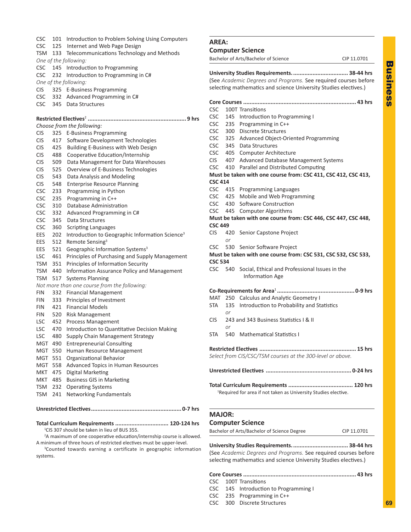<span id="page-10-0"></span>

|     | Internet and Web Page Design                                                                                                                      |                                                                                                                                                                                                                                                                                                                                                                                                                                                                                                                                                                                                                                                                                                                                                                                                                                                                                                                                                                                                                                                                                                                                                                                                                                                                                                                                                                                                                                                                                                                                                                                                                                                                                                                                                       |                                                                                                                                                                                                                                                                                                                                                                                                                                                                                                  |
|-----|---------------------------------------------------------------------------------------------------------------------------------------------------|-------------------------------------------------------------------------------------------------------------------------------------------------------------------------------------------------------------------------------------------------------------------------------------------------------------------------------------------------------------------------------------------------------------------------------------------------------------------------------------------------------------------------------------------------------------------------------------------------------------------------------------------------------------------------------------------------------------------------------------------------------------------------------------------------------------------------------------------------------------------------------------------------------------------------------------------------------------------------------------------------------------------------------------------------------------------------------------------------------------------------------------------------------------------------------------------------------------------------------------------------------------------------------------------------------------------------------------------------------------------------------------------------------------------------------------------------------------------------------------------------------------------------------------------------------------------------------------------------------------------------------------------------------------------------------------------------------------------------------------------------------|--------------------------------------------------------------------------------------------------------------------------------------------------------------------------------------------------------------------------------------------------------------------------------------------------------------------------------------------------------------------------------------------------------------------------------------------------------------------------------------------------|
|     |                                                                                                                                                   |                                                                                                                                                                                                                                                                                                                                                                                                                                                                                                                                                                                                                                                                                                                                                                                                                                                                                                                                                                                                                                                                                                                                                                                                                                                                                                                                                                                                                                                                                                                                                                                                                                                                                                                                                       |                                                                                                                                                                                                                                                                                                                                                                                                                                                                                                  |
|     |                                                                                                                                                   |                                                                                                                                                                                                                                                                                                                                                                                                                                                                                                                                                                                                                                                                                                                                                                                                                                                                                                                                                                                                                                                                                                                                                                                                                                                                                                                                                                                                                                                                                                                                                                                                                                                                                                                                                       |                                                                                                                                                                                                                                                                                                                                                                                                                                                                                                  |
|     |                                                                                                                                                   |                                                                                                                                                                                                                                                                                                                                                                                                                                                                                                                                                                                                                                                                                                                                                                                                                                                                                                                                                                                                                                                                                                                                                                                                                                                                                                                                                                                                                                                                                                                                                                                                                                                                                                                                                       |                                                                                                                                                                                                                                                                                                                                                                                                                                                                                                  |
|     |                                                                                                                                                   |                                                                                                                                                                                                                                                                                                                                                                                                                                                                                                                                                                                                                                                                                                                                                                                                                                                                                                                                                                                                                                                                                                                                                                                                                                                                                                                                                                                                                                                                                                                                                                                                                                                                                                                                                       |                                                                                                                                                                                                                                                                                                                                                                                                                                                                                                  |
|     |                                                                                                                                                   |                                                                                                                                                                                                                                                                                                                                                                                                                                                                                                                                                                                                                                                                                                                                                                                                                                                                                                                                                                                                                                                                                                                                                                                                                                                                                                                                                                                                                                                                                                                                                                                                                                                                                                                                                       |                                                                                                                                                                                                                                                                                                                                                                                                                                                                                                  |
|     |                                                                                                                                                   |                                                                                                                                                                                                                                                                                                                                                                                                                                                                                                                                                                                                                                                                                                                                                                                                                                                                                                                                                                                                                                                                                                                                                                                                                                                                                                                                                                                                                                                                                                                                                                                                                                                                                                                                                       |                                                                                                                                                                                                                                                                                                                                                                                                                                                                                                  |
|     |                                                                                                                                                   |                                                                                                                                                                                                                                                                                                                                                                                                                                                                                                                                                                                                                                                                                                                                                                                                                                                                                                                                                                                                                                                                                                                                                                                                                                                                                                                                                                                                                                                                                                                                                                                                                                                                                                                                                       |                                                                                                                                                                                                                                                                                                                                                                                                                                                                                                  |
|     |                                                                                                                                                   |                                                                                                                                                                                                                                                                                                                                                                                                                                                                                                                                                                                                                                                                                                                                                                                                                                                                                                                                                                                                                                                                                                                                                                                                                                                                                                                                                                                                                                                                                                                                                                                                                                                                                                                                                       |                                                                                                                                                                                                                                                                                                                                                                                                                                                                                                  |
|     |                                                                                                                                                   |                                                                                                                                                                                                                                                                                                                                                                                                                                                                                                                                                                                                                                                                                                                                                                                                                                                                                                                                                                                                                                                                                                                                                                                                                                                                                                                                                                                                                                                                                                                                                                                                                                                                                                                                                       | $1\,$                                                                                                                                                                                                                                                                                                                                                                                                                                                                                            |
|     |                                                                                                                                                   |                                                                                                                                                                                                                                                                                                                                                                                                                                                                                                                                                                                                                                                                                                                                                                                                                                                                                                                                                                                                                                                                                                                                                                                                                                                                                                                                                                                                                                                                                                                                                                                                                                                                                                                                                       | 1<br>$\mathbf{2}$                                                                                                                                                                                                                                                                                                                                                                                                                                                                                |
|     |                                                                                                                                                   |                                                                                                                                                                                                                                                                                                                                                                                                                                                                                                                                                                                                                                                                                                                                                                                                                                                                                                                                                                                                                                                                                                                                                                                                                                                                                                                                                                                                                                                                                                                                                                                                                                                                                                                                                       | $\overline{3}$                                                                                                                                                                                                                                                                                                                                                                                                                                                                                   |
|     |                                                                                                                                                   |                                                                                                                                                                                                                                                                                                                                                                                                                                                                                                                                                                                                                                                                                                                                                                                                                                                                                                                                                                                                                                                                                                                                                                                                                                                                                                                                                                                                                                                                                                                                                                                                                                                                                                                                                       |                                                                                                                                                                                                                                                                                                                                                                                                                                                                                                  |
|     |                                                                                                                                                   |                                                                                                                                                                                                                                                                                                                                                                                                                                                                                                                                                                                                                                                                                                                                                                                                                                                                                                                                                                                                                                                                                                                                                                                                                                                                                                                                                                                                                                                                                                                                                                                                                                                                                                                                                       | 3.<br>3,                                                                                                                                                                                                                                                                                                                                                                                                                                                                                         |
|     |                                                                                                                                                   |                                                                                                                                                                                                                                                                                                                                                                                                                                                                                                                                                                                                                                                                                                                                                                                                                                                                                                                                                                                                                                                                                                                                                                                                                                                                                                                                                                                                                                                                                                                                                                                                                                                                                                                                                       |                                                                                                                                                                                                                                                                                                                                                                                                                                                                                                  |
|     |                                                                                                                                                   |                                                                                                                                                                                                                                                                                                                                                                                                                                                                                                                                                                                                                                                                                                                                                                                                                                                                                                                                                                                                                                                                                                                                                                                                                                                                                                                                                                                                                                                                                                                                                                                                                                                                                                                                                       | 4                                                                                                                                                                                                                                                                                                                                                                                                                                                                                                |
|     |                                                                                                                                                   |                                                                                                                                                                                                                                                                                                                                                                                                                                                                                                                                                                                                                                                                                                                                                                                                                                                                                                                                                                                                                                                                                                                                                                                                                                                                                                                                                                                                                                                                                                                                                                                                                                                                                                                                                       | 4                                                                                                                                                                                                                                                                                                                                                                                                                                                                                                |
|     |                                                                                                                                                   |                                                                                                                                                                                                                                                                                                                                                                                                                                                                                                                                                                                                                                                                                                                                                                                                                                                                                                                                                                                                                                                                                                                                                                                                                                                                                                                                                                                                                                                                                                                                                                                                                                                                                                                                                       | 4                                                                                                                                                                                                                                                                                                                                                                                                                                                                                                |
|     |                                                                                                                                                   |                                                                                                                                                                                                                                                                                                                                                                                                                                                                                                                                                                                                                                                                                                                                                                                                                                                                                                                                                                                                                                                                                                                                                                                                                                                                                                                                                                                                                                                                                                                                                                                                                                                                                                                                                       |                                                                                                                                                                                                                                                                                                                                                                                                                                                                                                  |
|     |                                                                                                                                                   |                                                                                                                                                                                                                                                                                                                                                                                                                                                                                                                                                                                                                                                                                                                                                                                                                                                                                                                                                                                                                                                                                                                                                                                                                                                                                                                                                                                                                                                                                                                                                                                                                                                                                                                                                       |                                                                                                                                                                                                                                                                                                                                                                                                                                                                                                  |
|     |                                                                                                                                                   |                                                                                                                                                                                                                                                                                                                                                                                                                                                                                                                                                                                                                                                                                                                                                                                                                                                                                                                                                                                                                                                                                                                                                                                                                                                                                                                                                                                                                                                                                                                                                                                                                                                                                                                                                       | 4                                                                                                                                                                                                                                                                                                                                                                                                                                                                                                |
|     |                                                                                                                                                   |                                                                                                                                                                                                                                                                                                                                                                                                                                                                                                                                                                                                                                                                                                                                                                                                                                                                                                                                                                                                                                                                                                                                                                                                                                                                                                                                                                                                                                                                                                                                                                                                                                                                                                                                                       | $\overline{4}$                                                                                                                                                                                                                                                                                                                                                                                                                                                                                   |
|     |                                                                                                                                                   |                                                                                                                                                                                                                                                                                                                                                                                                                                                                                                                                                                                                                                                                                                                                                                                                                                                                                                                                                                                                                                                                                                                                                                                                                                                                                                                                                                                                                                                                                                                                                                                                                                                                                                                                                       | 4.                                                                                                                                                                                                                                                                                                                                                                                                                                                                                               |
|     |                                                                                                                                                   |                                                                                                                                                                                                                                                                                                                                                                                                                                                                                                                                                                                                                                                                                                                                                                                                                                                                                                                                                                                                                                                                                                                                                                                                                                                                                                                                                                                                                                                                                                                                                                                                                                                                                                                                                       | 4                                                                                                                                                                                                                                                                                                                                                                                                                                                                                                |
|     | Data Structures                                                                                                                                   |                                                                                                                                                                                                                                                                                                                                                                                                                                                                                                                                                                                                                                                                                                                                                                                                                                                                                                                                                                                                                                                                                                                                                                                                                                                                                                                                                                                                                                                                                                                                                                                                                                                                                                                                                       |                                                                                                                                                                                                                                                                                                                                                                                                                                                                                                  |
|     |                                                                                                                                                   |                                                                                                                                                                                                                                                                                                                                                                                                                                                                                                                                                                                                                                                                                                                                                                                                                                                                                                                                                                                                                                                                                                                                                                                                                                                                                                                                                                                                                                                                                                                                                                                                                                                                                                                                                       |                                                                                                                                                                                                                                                                                                                                                                                                                                                                                                  |
|     |                                                                                                                                                   |                                                                                                                                                                                                                                                                                                                                                                                                                                                                                                                                                                                                                                                                                                                                                                                                                                                                                                                                                                                                                                                                                                                                                                                                                                                                                                                                                                                                                                                                                                                                                                                                                                                                                                                                                       | $\overline{4}$                                                                                                                                                                                                                                                                                                                                                                                                                                                                                   |
|     |                                                                                                                                                   |                                                                                                                                                                                                                                                                                                                                                                                                                                                                                                                                                                                                                                                                                                                                                                                                                                                                                                                                                                                                                                                                                                                                                                                                                                                                                                                                                                                                                                                                                                                                                                                                                                                                                                                                                       | 0<br>5.                                                                                                                                                                                                                                                                                                                                                                                                                                                                                          |
|     |                                                                                                                                                   |                                                                                                                                                                                                                                                                                                                                                                                                                                                                                                                                                                                                                                                                                                                                                                                                                                                                                                                                                                                                                                                                                                                                                                                                                                                                                                                                                                                                                                                                                                                                                                                                                                                                                                                                                       |                                                                                                                                                                                                                                                                                                                                                                                                                                                                                                  |
|     |                                                                                                                                                   |                                                                                                                                                                                                                                                                                                                                                                                                                                                                                                                                                                                                                                                                                                                                                                                                                                                                                                                                                                                                                                                                                                                                                                                                                                                                                                                                                                                                                                                                                                                                                                                                                                                                                                                                                       |                                                                                                                                                                                                                                                                                                                                                                                                                                                                                                  |
|     |                                                                                                                                                   |                                                                                                                                                                                                                                                                                                                                                                                                                                                                                                                                                                                                                                                                                                                                                                                                                                                                                                                                                                                                                                                                                                                                                                                                                                                                                                                                                                                                                                                                                                                                                                                                                                                                                                                                                       | 5,                                                                                                                                                                                                                                                                                                                                                                                                                                                                                               |
|     |                                                                                                                                                   |                                                                                                                                                                                                                                                                                                                                                                                                                                                                                                                                                                                                                                                                                                                                                                                                                                                                                                                                                                                                                                                                                                                                                                                                                                                                                                                                                                                                                                                                                                                                                                                                                                                                                                                                                       |                                                                                                                                                                                                                                                                                                                                                                                                                                                                                                  |
|     |                                                                                                                                                   |                                                                                                                                                                                                                                                                                                                                                                                                                                                                                                                                                                                                                                                                                                                                                                                                                                                                                                                                                                                                                                                                                                                                                                                                                                                                                                                                                                                                                                                                                                                                                                                                                                                                                                                                                       |                                                                                                                                                                                                                                                                                                                                                                                                                                                                                                  |
|     |                                                                                                                                                   |                                                                                                                                                                                                                                                                                                                                                                                                                                                                                                                                                                                                                                                                                                                                                                                                                                                                                                                                                                                                                                                                                                                                                                                                                                                                                                                                                                                                                                                                                                                                                                                                                                                                                                                                                       |                                                                                                                                                                                                                                                                                                                                                                                                                                                                                                  |
|     |                                                                                                                                                   |                                                                                                                                                                                                                                                                                                                                                                                                                                                                                                                                                                                                                                                                                                                                                                                                                                                                                                                                                                                                                                                                                                                                                                                                                                                                                                                                                                                                                                                                                                                                                                                                                                                                                                                                                       | 2.                                                                                                                                                                                                                                                                                                                                                                                                                                                                                               |
|     |                                                                                                                                                   |                                                                                                                                                                                                                                                                                                                                                                                                                                                                                                                                                                                                                                                                                                                                                                                                                                                                                                                                                                                                                                                                                                                                                                                                                                                                                                                                                                                                                                                                                                                                                                                                                                                                                                                                                       | $\mathbf{1}$                                                                                                                                                                                                                                                                                                                                                                                                                                                                                     |
|     |                                                                                                                                                   |                                                                                                                                                                                                                                                                                                                                                                                                                                                                                                                                                                                                                                                                                                                                                                                                                                                                                                                                                                                                                                                                                                                                                                                                                                                                                                                                                                                                                                                                                                                                                                                                                                                                                                                                                       | 0                                                                                                                                                                                                                                                                                                                                                                                                                                                                                                |
|     |                                                                                                                                                   |                                                                                                                                                                                                                                                                                                                                                                                                                                                                                                                                                                                                                                                                                                                                                                                                                                                                                                                                                                                                                                                                                                                                                                                                                                                                                                                                                                                                                                                                                                                                                                                                                                                                                                                                                       | 2                                                                                                                                                                                                                                                                                                                                                                                                                                                                                                |
|     |                                                                                                                                                   |                                                                                                                                                                                                                                                                                                                                                                                                                                                                                                                                                                                                                                                                                                                                                                                                                                                                                                                                                                                                                                                                                                                                                                                                                                                                                                                                                                                                                                                                                                                                                                                                                                                                                                                                                       | 0                                                                                                                                                                                                                                                                                                                                                                                                                                                                                                |
|     |                                                                                                                                                   |                                                                                                                                                                                                                                                                                                                                                                                                                                                                                                                                                                                                                                                                                                                                                                                                                                                                                                                                                                                                                                                                                                                                                                                                                                                                                                                                                                                                                                                                                                                                                                                                                                                                                                                                                       | 5.                                                                                                                                                                                                                                                                                                                                                                                                                                                                                               |
|     |                                                                                                                                                   |                                                                                                                                                                                                                                                                                                                                                                                                                                                                                                                                                                                                                                                                                                                                                                                                                                                                                                                                                                                                                                                                                                                                                                                                                                                                                                                                                                                                                                                                                                                                                                                                                                                                                                                                                       |                                                                                                                                                                                                                                                                                                                                                                                                                                                                                                  |
|     |                                                                                                                                                   |                                                                                                                                                                                                                                                                                                                                                                                                                                                                                                                                                                                                                                                                                                                                                                                                                                                                                                                                                                                                                                                                                                                                                                                                                                                                                                                                                                                                                                                                                                                                                                                                                                                                                                                                                       |                                                                                                                                                                                                                                                                                                                                                                                                                                                                                                  |
|     |                                                                                                                                                   |                                                                                                                                                                                                                                                                                                                                                                                                                                                                                                                                                                                                                                                                                                                                                                                                                                                                                                                                                                                                                                                                                                                                                                                                                                                                                                                                                                                                                                                                                                                                                                                                                                                                                                                                                       |                                                                                                                                                                                                                                                                                                                                                                                                                                                                                                  |
|     |                                                                                                                                                   |                                                                                                                                                                                                                                                                                                                                                                                                                                                                                                                                                                                                                                                                                                                                                                                                                                                                                                                                                                                                                                                                                                                                                                                                                                                                                                                                                                                                                                                                                                                                                                                                                                                                                                                                                       |                                                                                                                                                                                                                                                                                                                                                                                                                                                                                                  |
|     |                                                                                                                                                   |                                                                                                                                                                                                                                                                                                                                                                                                                                                                                                                                                                                                                                                                                                                                                                                                                                                                                                                                                                                                                                                                                                                                                                                                                                                                                                                                                                                                                                                                                                                                                                                                                                                                                                                                                       |                                                                                                                                                                                                                                                                                                                                                                                                                                                                                                  |
| MKT |                                                                                                                                                   |                                                                                                                                                                                                                                                                                                                                                                                                                                                                                                                                                                                                                                                                                                                                                                                                                                                                                                                                                                                                                                                                                                                                                                                                                                                                                                                                                                                                                                                                                                                                                                                                                                                                                                                                                       |                                                                                                                                                                                                                                                                                                                                                                                                                                                                                                  |
|     |                                                                                                                                                   |                                                                                                                                                                                                                                                                                                                                                                                                                                                                                                                                                                                                                                                                                                                                                                                                                                                                                                                                                                                                                                                                                                                                                                                                                                                                                                                                                                                                                                                                                                                                                                                                                                                                                                                                                       |                                                                                                                                                                                                                                                                                                                                                                                                                                                                                                  |
|     |                                                                                                                                                   |                                                                                                                                                                                                                                                                                                                                                                                                                                                                                                                                                                                                                                                                                                                                                                                                                                                                                                                                                                                                                                                                                                                                                                                                                                                                                                                                                                                                                                                                                                                                                                                                                                                                                                                                                       | <sup>1</sup> Requ                                                                                                                                                                                                                                                                                                                                                                                                                                                                                |
| TSM |                                                                                                                                                   |                                                                                                                                                                                                                                                                                                                                                                                                                                                                                                                                                                                                                                                                                                                                                                                                                                                                                                                                                                                                                                                                                                                                                                                                                                                                                                                                                                                                                                                                                                                                                                                                                                                                                                                                                       |                                                                                                                                                                                                                                                                                                                                                                                                                                                                                                  |
|     |                                                                                                                                                   | <b>MAIOI</b>                                                                                                                                                                                                                                                                                                                                                                                                                                                                                                                                                                                                                                                                                                                                                                                                                                                                                                                                                                                                                                                                                                                                                                                                                                                                                                                                                                                                                                                                                                                                                                                                                                                                                                                                          |                                                                                                                                                                                                                                                                                                                                                                                                                                                                                                  |
| TSM | 425<br>509<br>525<br>543<br>548<br>233<br>235<br>310<br>332<br>345<br>202<br>512<br>351<br>440<br>517<br>MGT 490<br>MGT 550<br>MGT 551<br>MGT 558 | 101 Introduction to Problem Solving Using Computers<br>125<br>133 Telecommunications Technology and Methods<br>One of the following:<br>145 Introduction to Programming<br>232 Introduction to Programming in C#<br>One of the following:<br>325 E-Business Programming<br>332 Advanced Programming in C#<br>345 Data Structures<br>Choose from the following:<br>325 E-Business Programming<br>417<br>Software Development Technologies<br>Building E-Business with Web Design<br>488<br>Cooperative Education/Internship<br>Data Management for Data Warehouses<br>Overview of E-Business Technologies<br>Data Analysis and Modeling<br><b>Enterprise Resource Planning</b><br>Programming in Python<br>Programming in C++<br>Database Administration<br>Advanced Programming in C#<br>360<br><b>Scripting Languages</b><br>Introduction to Geographic Information Science <sup>3</sup><br>Remote Sensing <sup>3</sup><br>521<br>Geographic Information Systems <sup>3</sup><br>461<br>Principles of Purchasing and Supply Management<br>Principles of Information Security<br>Information Assurance Policy and Management<br><b>Systems Planning</b><br>Not more than one course from the following:<br>332 Financial Management<br>333<br>Principles of Investment<br>421<br><b>Financial Models</b><br>520 Risk Management<br>452<br>Process Management<br>470<br>Introduction to Quantitative Decision Making<br>480 Supply Chain Management Strategy<br><b>Entrepreneurial Consulting</b><br>Human Resource Management<br>Organizational Behavior<br>Advanced Topics in Human Resources<br><b>Digital Marketing</b><br>475<br><b>Business GIS in Marketing</b><br>MKT 485<br><b>Operating Systems</b><br>232<br>Networking Fundamentals<br>241 | AREA:<br>Compu<br>Bachelor<br>Universi<br>(See Acc<br>selecting<br>Core Co<br><b>CSC</b><br><b>CSC</b><br><b>CSC</b><br><b>CSC</b><br><b>CSC</b><br><b>CSC</b><br><b>CSC</b><br><b>CIS</b><br><b>CSC</b><br>Must be<br><b>CSC 414</b><br><b>CSC</b><br><b>CSC</b><br><b>CSC</b><br><b>CSC</b><br>Must be<br><b>CSC 449</b><br><b>CIS</b><br>CSC<br>Must be<br><b>CSC 534</b><br>CSC<br>Co-Requ<br>MAT<br>STA<br><b>CIS</b><br>STA<br><b>Restrict</b><br>Select fr<br>Unrestri<br><b>Total Cu</b> |

**Total Curriculum Requirements ................................. 120-124 hrs** 1 CIS 307 should be taken in lieu of BUS 355.

<sup>2</sup>A maximum of one cooperative education/internship course is allowed. A minimum of three hours of restricted electives must be upper-level.

<sup>3</sup>Counted towards earning a certificate in geographic information systems.

### **Computer Science**

r of Arts/Bachelor of Science CIP 11.0701

**University Studies Requirements................................... 38-44 hrs** cademic Degrees and Programs. See required courses before g mathematics and science University Studies electives.) **Core Courses ...................................................................... 43 hrs**

100T Transitions 145 Introduction to Programming I 235 Programming in  $C_{++}$ **300** Discrete Structures 325 Advanced Object-Oriented Programming 345 Data Structures 405 Computer Architecture 407 Advanced Database Management Systems 410 Parallel and Distributed Computing **Must be taken with one course from: CSC 411, CSC 412, CSC 413, CSC 414** 415 Programming Languages 425 Mobile and Web Programming 430 Software Construction 445 Computer Algorithms **Must be taken with one course from: CSC 446, CSC 447, CSC 448,**  420 Senior Capstone Project *or* 530 Senior Software Project **Must be taken with one course from: CSC 531, CSC 532, CSC 533,**  540 Social, Ethical and Professional Issues in the Information Age **Co-Requirements for Area**<sup>1</sup> **................................................ 0-9 hrs** 250 Calculus and Analytic Geometry I 135 Introduction to Probability and Statistics *or* 243 and 343 Business Statistics I & II *or* 540 Mathematical Statistics I **Restricted Electives ............................................................ 15 hrs** *Select from CIS/CSC/TSM courses at the 300-level or above.* **Unrestricted Electives ..................................................... 0-24 hrs Total Curriculum Requirements ........................................ 120 hrs** uired for area if not taken as University Studies elective.

### **MAJOR:**

### **Computer Science**

Bachelor of Arts/Bachelor of Science Degree CIP 11.0701

**University Studies Requirements................................... 38-44 hrs** (See *Academic Degrees and Programs.* See required courses before selecting mathematics and science University Studies electives.)

**Core Courses ...................................................................... 43 hrs**

- CSC 100T Transitions
- CSC 145 Introduction to Programming I
- CSC 235 Programming in C++
- CSC 300 Discrete Structures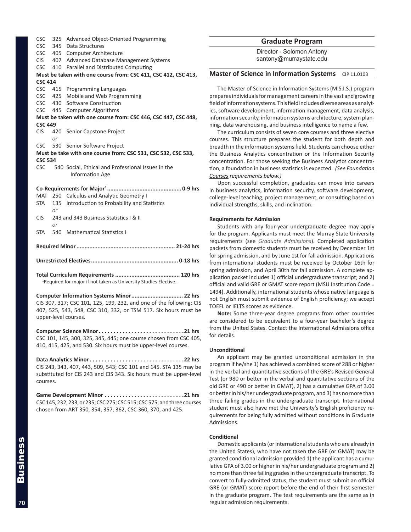<span id="page-11-0"></span>

| <b>CSC</b>     | 325 | Advanced Object-Oriented Programming                           |
|----------------|-----|----------------------------------------------------------------|
|                |     | CSC 345 Data Structures                                        |
|                |     | CSC 405 Computer Architecture                                  |
|                |     | CIS 407 Advanced Database Management Systems                   |
|                |     | CSC 410 Parallel and Distributed Computing                     |
|                |     | Must be taken with one course from: CSC 411, CSC 412, CSC 413, |
| <b>CSC 414</b> |     |                                                                |
|                |     | CSC 415 Programming Languages                                  |
|                |     | CSC 425 Mobile and Web Programming                             |
|                |     | CSC 430 Software Construction                                  |
|                |     | CSC 445 Computer Algorithms                                    |
|                |     | Must be taken with one course from: CSC 446, CSC 447, CSC 448, |
| <b>CSC 449</b> |     |                                                                |
| <b>CIS</b>     |     | 420 Senior Capstone Project                                    |
|                | or  |                                                                |
|                |     | CSC 530 Senior Software Project                                |
|                |     | Must be take with one course from: CSC 531, CSC 532, CSC 533,  |
| <b>CSC 534</b> |     |                                                                |
| <b>CSC</b>     |     | 540 Social, Ethical and Professional Issues in the             |
|                |     | <b>Information Age</b>                                         |
|                |     |                                                                |
|                |     |                                                                |
|                |     | MAT 250 Calculus and Analytic Geometry I                       |
| STA            |     | 135 Introduction to Probability and Statistics                 |
|                | or  |                                                                |
| <b>CIS</b>     |     | 243 and 343 Business Statistics   & II                         |
|                | or  |                                                                |
| STA            |     | 540 Mathematical Statistics I                                  |
|                |     |                                                                |
|                |     |                                                                |
|                |     |                                                                |
|                |     |                                                                |
|                |     |                                                                |

**Total Curriculum Requirements ........................................ 120 hrs** <sup>1</sup>Required for major if not taken as University Studies Elective.

**Computer Information Systems Minor................................ 22 hrs** CIS 307, 317; CSC 101, 125, 199, 232, and one of the following: CIS 407, 525, 543, 548, CSC 310, 332, or TSM 517. Six hours must be upper-level courses.

**Computer Science Minor. 21 hrs** CSC 101, 145, 300, 325, 345, 445; one course chosen from CSC 405, 410, 415, 425, and 530. Six hours must be upper-level courses.

**Data Analytics Minor. 22 hrs** CIS 243, 343, 407, 443, 509, 543; CSC 101 and 145. STA 135 may be substituted for CIS 243 and CIS 343. Six hours must be upper-level courses.

**Game Development Minor. 21 hrs** CSC 145, 232, 233, or 235; CSC 275; CSC 515; CSC 575; and three courses chosen from ART 350, 354, 357, 362, CSC 360, 370, and 425.

#### **Graduate Program**

Director - Solomon Antony santony@murraystate.edu

#### **Master of Science in Information Systems** CIP 11.0103

The Master of Science in Information Systems (M.S.I.S.) program prepares individuals for management careers in the vast and growing field of information systems. This field includes diverse areas as analytics, software development, information management, data analysis, information security, information systems architecture, system planning, data warehousing, and business intelligence to name a few.

The curriculum consists of seven core courses and three elective courses. This structure prepares the student for both depth and breadth in the information systems field. Students can choose either the Business Analytics concentration or the Information Security concentration. For those seeking the Business Analytics concentration, a foundation in business statistics is expected. *(See Foundation Courses requirements below.)*

Upon successful completion, graduates can move into careers in business analytics, information security, software development, college-level teaching, project management, or consulting based on individual strengths, skills, and inclination.

#### **Requirements for Admission**

Students with any four-year undergraduate degree may apply for the program. Applicants must meet the Murray State University requirements (see *Graduate Admissions*). Completed application packets from domestic students must be received by December 1st for spring admission, and by June 1st for fall admission. Applications from international students must be received by October 16th for spring admission, and April 30th for fall admission. A complete application packet includes 1) official undergraduate transcript; and 2) official and valid GRE or GMAT score report (MSU Institution Code = 1494). Additionally, international students whose native language is not English must submit evidence of English proficiency; we accept TOEFL or IELTS scores as evidence.

**Note:** Some three-year degree programs from other countries are considered to be equivalent to a four-year bachelor's degree from the United States. Contact the International Admissions office for details.

#### **Unconditional**

An applicant may be granted unconditional admission in the program if he/she 1) has achieved a combined score of 288 or higher in the verbal and quantitative sections of the GRE's Revised General Test (or 980 or better in the verbal and quantitative sections of the old GRE or 490 or better in GMAT), 2) has a cumulative GPA of 3.00 or better in his/her undergraduate program, and 3) has no more than three failing grades in the undergraduate transcript. International student must also have met the University's English proficiency requirements for being fully admitted without conditions in Graduate Admissions.

#### **Conditional**

Domestic applicants (or international students who are already in the United States), who have not taken the GRE (or GMAT) may be granted conditional admission provided 1) the applicant has a cumulative GPA of 3.00 or higher in his/her undergraduate program and 2) no more than three failing grades in the undergraduate transcript. To convert to fully-admitted status, the student must submit an official GRE (or GMAT) score report before the end of their first semester in the graduate program. The test requirements are the same as in regular admission requirements.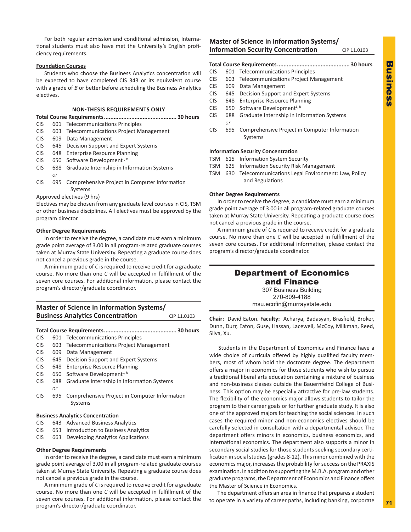<span id="page-12-0"></span>For both regular admission and conditional admission, International students must also have met the University's English proficiency requirements.

#### **Foundation Courses**

Students who choose the Business Analytics concentration will be expected to have completed CIS 343 or its equivalent course with a grade of *B* or better before scheduling the Business Analytics electives.

#### **NON-THESIS REQUIREMENTS ONLY**

**Total Course Requirements............................................. 30 hours**

- CIS 601 Telecommunications Principles
- CIS 603 Telecommunications Project Management
- CIS 609 Data Management
- CIS 645 Decision Support and Expert Systems
- CIS 648 Enterprise Resource Planning
- $CIS$  650 Software Development<sup>L, R</sup>
- CIS 688 Graduate Internship in Information Systems
	- *or*
- CIS 695 Comprehensive Project in Computer Information Systems

#### Approved electives (9 hrs)

Electives may be chosen from any graduate level courses in CIS, TSM or other business disciplines. All electives must be approved by the program director.

#### **Other Degree Requirements**

In order to receive the degree, a candidate must earn a minimum grade point average of 3.00 in all program-related graduate courses taken at Murray State University. Repeating a graduate course does not cancel a previous grade in the course.

A minimum grade of *C* is required to receive credit for a graduate course. No more than one *C* will be accepted in fulfillment of the seven core courses. For additional information, please contact the program's director/graduate coordinator.

### **Master of Science in Information Systems/ Business Analytics Concentration** CIP 11.0103

|            | טבטגבב ווט |                                                          |            |
|------------|------------|----------------------------------------------------------|------------|
|            |            |                                                          |            |
|            |            |                                                          | . 30 hours |
| <b>CIS</b> |            | 601 Telecommunications Principles                        |            |
| <b>CIS</b> |            | 603 Telecommunications Project Management                |            |
| <b>CIS</b> | 609        | Data Management                                          |            |
| <b>CIS</b> | 645        | Decision Support and Expert Systems                      |            |
| <b>CIS</b> | 648        | <b>Enterprise Resource Planning</b>                      |            |
| <b>CIS</b> | 650        | Software Development <sup>L, R</sup>                     |            |
| <b>CIS</b> | 688        | Graduate Internship in Information Systems               |            |
|            | or         |                                                          |            |
| <b>CIS</b> | 695        | Comprehensive Project in Computer Information<br>Systems |            |

#### **Business Analytics Concentration**

- CIS 643 Advanced Business Analytics
- CIS 653 Introduction to Business Analytics
- CIS 663 Developing Analytics Applications

#### **Other Degree Requirements**

In order to receive the degree, a candidate must earn a minimum grade point average of 3.00 in all program-related graduate courses taken at Murray State University. Repeating a graduate course does not cancel a previous grade in the course.

A minimum grade of *C* is required to receive credit for a graduate course. No more than one *C* will be accepted in fulfillment of the seven core courses. For additional information, please contact the program's director/graduate coordinator.

### **Master of Science in Information Systems/ Information Security Concentration** CIP 11.0103

#### **Total Course Requirements............................................. 30 hours**

- CIS 601 Telecommunications Principles
- CIS 603 Telecommunications Project Management
- CIS 609 Data Management
- CIS 645 Decision Support and Expert Systems
- CIS 648 Enterprise Resource Planning
- $CIS$  650 Software Development<sup>L, R</sup>
- CIS 688 Graduate Internship in Information Systems *or*
- CIS 695 Comprehensive Project in Computer Information Systems

#### **Information Security Concentration**

- TSM 615 Information System Security
- TSM 625 Information Security Risk Management
- TSM 630 Telecommunications Legal Environment: Law, Policy and Regulations

#### **Other Degree Requirements**

In order to receive the degree, a candidate must earn a minimum grade point average of 3.00 in all program-related graduate courses taken at Murray State University. Repeating a graduate course does not cancel a previous grade in the course.

A minimum grade of *C* is required to receive credit for a graduate course. No more than one *C* will be accepted in fulfillment of the seven core courses. For additional information, please contact the program's director/graduate coordinator.

### Department of Economics and Finance

307 Business Building 270-809-4188 msu.ecofin@murraystate.edu

**Chair:** David Eaton. **Faculty:** Acharya, Badasyan, Brasfield, Broker, Dunn, Durr, Eaton, Guse, Hassan, Lacewell, McCoy, Milkman, Reed, Silva, Xu.

Students in the Department of Economics and Finance have a wide choice of curricula offered by highly qualified faculty members, most of whom hold the doctorate degree. The department offers a major in economics for those students who wish to pursue a traditional liberal arts education containing a mixture of business and non-business classes outside the Bauernfeind College of Business. This option may be especially attractive for pre-law students. The flexibility of the economics major allows students to tailor the program to their career goals or for further graduate study. It is also one of the approved majors for teaching the social sciences. In such cases the required minor and non-economics electives should be carefully selected in consultation with a departmental advisor. The department offers minors in economics, business economics, and international economics. The department also supports a minor in secondary social studies for those students seeking secondary certification in social studies (grades 8-12). This minor combined with the economics major, increases the probability for success on the PRAXIS examination. In addition to supporting the M.B.A. program and other graduate programs, the Department of Economics and Finance offers the Master of Science in Economics.

The department offers an area in finance that prepares a student to operate in a variety of career paths, including banking, corporate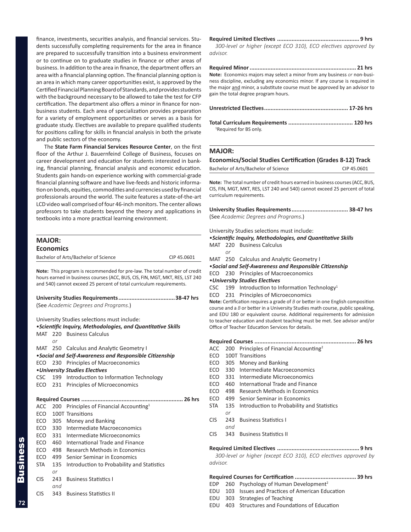<span id="page-13-0"></span>finance, investments, securities analysis, and financial services. Students successfully completing requirements for the area in finance are prepared to successfully transition into a business environment or to continue on to graduate studies in finance or other areas of business. In addition to the area in finance, the department offers an area with a financial planning option. The financial planning option is an area in which many career opportunities exist, is approved by the Certified Financial Planning Board of Standards, and provides students with the background necessary to be allowed to take the test for CFP certification. The department also offers a minor in finance for nonbusiness students. Each area of specialization provides preparation for a variety of employment opportunities or serves as a basis for graduate study. Electives are available to prepare qualified students for positions calling for skills in financial analysis in both the private and public sectors of the economy.

The **State Farm Financial Services Resource Center**, on the first floor of the Arthur J. Bauernfeind College of Business, focuses on career development and education for students interested in banking, financial planning, financial analysis and economic education. Students gain hands-on experience working with commercial-grade financial planning software and have live-feeds and historic information on bonds, equities, commodities and currencies used by financial professionals around the world. The suite features a state-of-the-art LCD video wall comprised of four 46-inch monitors. The center allows professors to take students beyond the theory and applications in textbooks into a more practical learning environment.

| <b>MAJOR:</b>                        |             |
|--------------------------------------|-------------|
| <b>Economics</b>                     |             |
| Bachelor of Arts/Bachelor of Science | CIP 45.0601 |

**Note:** This program is recommended for pre-law. The total number of credit hours earned in business courses (ACC, BUS, CIS, FIN, MGT, MKT, RES, LST 240 and 540) cannot exceed 25 percent of total curriculum requirements.

| (See Academic Degrees and Programs.) |  |
|--------------------------------------|--|

University Studies selections must include:

|            |     | • Scientific Inquiry, Methodologies, and Quantitative Skills |
|------------|-----|--------------------------------------------------------------|
|            |     | MAT 220 Business Calculus                                    |
|            | or  |                                                              |
|            |     | MAT 250 Calculus and Analytic Geometry I                     |
|            |     | . Social and Self-Awareness and Responsible Citizenship      |
| ECO        |     | 230 Principles of Macroeconomics                             |
|            |     | • University Studies Electives                               |
|            |     | CSC 199 Introduction to Information Technology               |
|            |     | ECO 231 Principles of Microeconomics                         |
|            |     |                                                              |
|            |     |                                                              |
| ACC        |     | 200 Principles of Financial Accounting <sup>1</sup>          |
| ECO        |     | 100T Transitions                                             |
|            |     | ECO 305 Money and Banking                                    |
|            |     | ECO 330 Intermediate Macroeconomics                          |
|            |     | ECO 331 Intermediate Microeconomics                          |
| ECO        |     | 460 International Trade and Finance                          |
| ECO        |     | 498 Research Methods in Economics                            |
| ECO        |     | 499 Senior Seminar in Economics                              |
| STA        | 135 | Introduction to Probability and Statistics                   |
|            | or  |                                                              |
| <b>CIS</b> | 243 | <b>Business Statistics I</b>                                 |
|            | and |                                                              |
| <b>CIS</b> | 343 | <b>Business Statistics II</b>                                |
|            |     |                                                              |

**Required Limited Electives ................................................... 9 hrs** *300-level or higher (except ECO 310), ECO electives approved by advisor.* 

**Required Minor.................................................................. 21 hrs Note:** Economics majors may select a minor from any business *or* non-business discipline, excluding any economics minor. If any course is required in the major and minor, a substitute course must be approved by an advisor to gain the total degree program hours.

| <sup>1</sup> Required for BS only. |  |
|------------------------------------|--|

#### **MAJOR:**

### **Economics/Social Studies Certification (Grades 8-12) Track**

Bachelor of Arts/Bachelor of Science CIP 45.0601

**Note:** The total number of credit hours earned in business courses (ACC, BUS, CIS, FIN, MGT, MKT, RES, LST 240 and 540) cannot exceed 25 percent of total curriculum requirements.

**University Studies Requirements................................... 38-47 hrs** (See *Academic Degrees and Programs*.)

University Studies selections must include:

#### •*Scientific Inquiry, Methodologies, and Quantitative Skills*

- MAT 220 Business Calculus
	- *or*

MAT 250 Calculus and Analytic Geometry I

- •*Social and Self-Awareness and Responsible Citizenship*
- ECO 230 Principles of Macroeconomics
- •*University Studies Electives*
- CSC 199 Introduction to Information Technology<sup>1</sup>
- ECO 231 Principles of Microeconomics

**Note:** Certification requires a grade of *B* or better in one English composition course and a *B* or better in a University Studies math course, public speaking, and EDU 180 or equivalent course. Additional requirements for admission to teacher education and student teaching must be met. See advisor and/or Office of Teacher Education Services for details.

**Required Courses ............................................................... 26 hrs**

- ACC 200 Principles of Financial Accounting<sup>2</sup>
- ECO 100T Transitions
- ECO 305 Money and Banking
- ECO 330 Intermediate Macroeconomics
- ECO 331 Intermediate Microeconomics
- ECO 460 International Trade and Finance
- ECO 498 Research Methods in Economics
- ECO 499 Senior Seminar in Economics
- STA 135 Introduction to Probability and Statistics *or*
- CIS 243 Business Statistics I *and*
- CIS 343 Business Statistics II

**Required Limited Electives ................................................... 9 hrs**

*300-level or higher (except ECO 310), ECO electives approved by advisor.* 

#### **Required Courses for Certification ...................................... 39 hrs**

- EDP 260 Psychology of Human Development<sup>2</sup>
- EDU 103 Issues and Practices of American Education
- EDU 303 Strategies of Teaching
- EDU 403 Structures and Foundations of Education

Business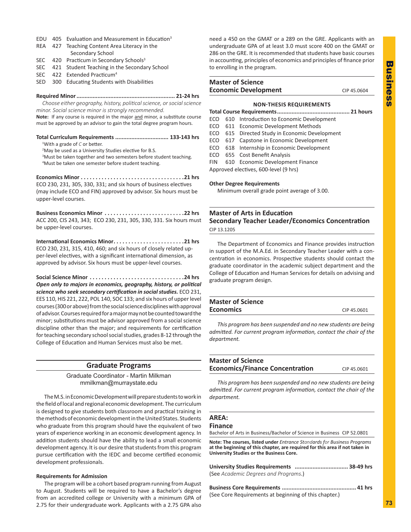- <span id="page-14-0"></span>EDU 405 Evaluation and Measurement in Education<sup>3</sup>
- REA 427 Teaching Content Area Literacy in the Secondary School
- SEC 420 Practicum in Secondary Schools<sup>3</sup>
- SEC 421 Student Teaching in the Secondary School
- SEC 422 Extended Practicum<sup>4</sup>
- SED 300 Educating Students with Disabilities

#### **Required Minor............................................................. 21-24 hrs**

*Choose either geography, history, political science, or social science minor. Social science minor is strongly recommended.*

Note: If any course is required in the major and minor, a substitute course must be approved by an advisor to gain the total degree program hours.

**Total Curriculum Requirements ................................. 133-143 hrs** 1With a grade of *C* or better.

- <sup>2</sup>May be used as a University Studies elective for B.S.
- <sup>3</sup>Must be taken together and two semesters before student teaching. <sup>4</sup>Must be taken one semester before student teaching.

**Economics Minor . 21 hrs** ECO 230, 231, 305, 330, 331; and six hours of business electives (may include ECO and FIN) approved by advisor. Six hours must be upper-level courses.

**Business Economics Minor . 22 hrs** ACC 200, CIS 243, 343; ECO 230, 231, 305, 330, 331. Six hours must be upper-level courses.

**International Economics Minor. 21 hrs** ECO 230, 231, 315, 410, 460; and six hours of closely related upper-level electives, with a significant international dimension, as approved by advisor. Six hours must be upper-level courses.

**Social Science Minor. . 24 hrs** *Open only to majors in economics, geography, history, or political science who seek secondary certification in social studies.* ECO 231, EES 110, HIS 221, 222, POL 140, SOC 133; and six hours of upperlevel courses (300 or above) from the social science disciplines with approval of advisor. Courses required for a major may not be counted toward the minor; substitutions must be advisor approved from a social science discipline other than the major; and requirements for certification for teaching secondary school social studies, grades 8-12 through the College of Education and Human Services must also be met.

#### **Graduate Programs**

Graduate Coordinator - Martin Milkman mmilkman@murraystate.edu

The M.S. in Economic Development will prepare students to work in the field of local and regional economic development. The curriculum is designed to give students both classroom and practical training in the methods of economic development in the United States. Students who graduate from this program should have the equivalent of two years of experience working in an economic development agency. In addition students should have the ability to lead a small economic development agency. It is our desire that students from this program pursue certification with the IEDC and become certified economic development professionals.

#### **Requirements for Admission**

The program will be a cohort based program running from August to August. Students will be required to have a Bachelor's degree from an accredited college or University with a minimum GPA of 2.75 for their undergraduate work. Applicants with a 2.75 GPA also

need a 450 on the GMAT or a 289 on the GRE. Applicants with an undergraduate GPA of at least 3.0 must score 400 on the GMAT or 286 on the GRE. It is recommended that students have basic courses in accounting, principles of economics and principles of finance prior to enrolling in the program.

### **Master of Science Economic Development** CIP 45.0604

### **NON-THESIS REQUIREMENTS**

**Total Course Requirements............................................. 21 hours**

- ECO 610 Introduction to Economic Development
- ECO 611 Economic Development Methods
- ECO 615 Directed Study in Economic Development
- ECO 617 Capstone in Economic Development
- ECO 618 Internship in Economic Development
- ECO 655 Cost Benefit Analysis

FIN 610 Economic Development Finance

Approved electives, 600-level (9 hrs)

#### **Other Degree Requirements**

 Minimum overall grade point average of 3.00.

### **Master of Arts in Education Secondary Teacher Leader/Economics Concentration** CIP 13.1205

The Department of Economics and Finance provides instruction in support of the M.A.Ed. in Secondary Teacher Leader with a concentration in economics. Prospective students should contact the graduate coordinator in the academic subject department and the College of Education and Human Services for details on advising and graduate program design.

| <b>Master of Science</b> |             |
|--------------------------|-------------|
| <b>Economics</b>         | CIP 45,0601 |
|                          |             |

 *This program has been suspended and no new students are being admitted. For current program information, contact the chair of the department.*

#### **Master of Science Economics/Finance Concentration** CIP 45.0601

 *This program has been suspended and no new students are being admitted. For current program information, contact the chair of the department.*

### **AREA:**

#### **Finance**

Bachelor of Arts in Business/Bachelor of Science in Business CIP 52.0801

**Note: The courses, listed under** *Entrance Standards for Business Programs* **at the beginning of this chapter, are required for this area if not taken in University Studies or the Business Core.**

| (See Academic Degrees and Programs.) |  |
|--------------------------------------|--|

**Business Core Requirements .............................................. 41 hrs** (See Core Requirements at beginning of this chapter.)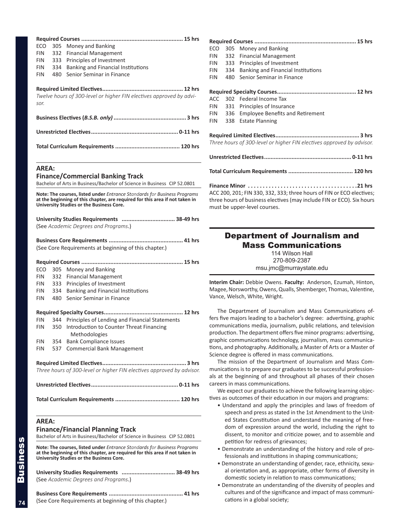<span id="page-15-0"></span>

| ECO          | 305 | Money and Banking                                                                                                                                                                                    |
|--------------|-----|------------------------------------------------------------------------------------------------------------------------------------------------------------------------------------------------------|
| <b>FIN</b>   | 332 | <b>Financial Management</b>                                                                                                                                                                          |
| <b>FIN</b>   | 333 | Principles of Investment                                                                                                                                                                             |
| <b>FIN</b>   | 334 | Banking and Financial Institutions                                                                                                                                                                   |
| <b>FIN</b>   | 480 | Senior Seminar in Finance                                                                                                                                                                            |
|              |     |                                                                                                                                                                                                      |
|              |     |                                                                                                                                                                                                      |
|              |     | Twelve hours of 300-level or higher FIN electives approved by advi-                                                                                                                                  |
| sor.         |     |                                                                                                                                                                                                      |
|              |     |                                                                                                                                                                                                      |
|              |     |                                                                                                                                                                                                      |
|              |     |                                                                                                                                                                                                      |
|              |     |                                                                                                                                                                                                      |
| <b>AREA:</b> |     |                                                                                                                                                                                                      |
|              |     | <b>Finance/Commercial Banking Track</b>                                                                                                                                                              |
|              |     | Bachelor of Arts in Business/Bachelor of Science in Business CIP 52.0801                                                                                                                             |
|              |     | Note: The courses, listed under Entrance Standards for Business Programs<br>at the beginning of this chapter, are required for this area if not taken in<br>University Studies or the Business Core. |
|              |     | University Studies Requirements  38-49 hrs                                                                                                                                                           |
|              |     | (See Academic Degrees and Programs.)                                                                                                                                                                 |
|              |     |                                                                                                                                                                                                      |
|              |     | <b>Business Core Requirements </b><br>41 hrs<br>(See Core Requirements at beginning of this chapter.)                                                                                                |
|              |     |                                                                                                                                                                                                      |
| ECO          | 305 | Money and Banking                                                                                                                                                                                    |
| FIN          | 332 | <b>Financial Management</b>                                                                                                                                                                          |
| FIN          | 333 | Principles of Investment                                                                                                                                                                             |
| FIN          | 334 | Banking and Financial Institutions                                                                                                                                                                   |
| <b>FIN</b>   | 480 | Senior Seminar in Finance                                                                                                                                                                            |
|              |     |                                                                                                                                                                                                      |
|              |     |                                                                                                                                                                                                      |
| <b>FIN</b>   | 344 | Principles of Lending and Financial Statements                                                                                                                                                       |
| FIN          | 350 | Introduction to Counter Threat Financing                                                                                                                                                             |
|              |     | Methodologies                                                                                                                                                                                        |
| FIN          | 354 | <b>Bank Compliance Issues</b>                                                                                                                                                                        |
| <b>FIN</b>   | 537 | <b>Commercial Bank Management</b>                                                                                                                                                                    |
|              |     |                                                                                                                                                                                                      |
|              |     | Three hours of 300-level or higher FIN electives approved by advisor.                                                                                                                                |
|              |     |                                                                                                                                                                                                      |
|              |     |                                                                                                                                                                                                      |
| <b>AREA:</b> |     | <b>Finance/Financial Planning Track</b><br>Bachelor of Arts in Business/Bachelor of Science in Business CIP 52.0801                                                                                  |
|              |     | Note: The courses, listed under Entrance Standards for Business Programs<br>at the beginning of this chapter, are required for this area if not taken in<br>University Studies or the Business Core. |
|              |     | University Studies Requirements  38-49 hrs<br>(See Academic Degrees and Programs.)                                                                                                                   |
|              |     |                                                                                                                                                                                                      |

(See Core Requirements at beginning of this chapter.)

| ECO                                                                                                                                                                            | 305 | Money and Banking                        |
|--------------------------------------------------------------------------------------------------------------------------------------------------------------------------------|-----|------------------------------------------|
| <b>FIN</b>                                                                                                                                                                     | 332 | <b>Financial Management</b>              |
| <b>FIN</b>                                                                                                                                                                     |     | 333 Principles of Investment             |
| <b>FIN</b>                                                                                                                                                                     | 334 | Banking and Financial Institutions       |
| <b>FIN</b>                                                                                                                                                                     | 480 | Senior Seminar in Finance                |
|                                                                                                                                                                                |     |                                          |
|                                                                                                                                                                                |     | ACC 302 Federal Income Tax               |
|                                                                                                                                                                                |     | FIN 331 Principles of Insurance          |
|                                                                                                                                                                                |     | FIN 336 Employee Benefits and Retirement |
| FIN 1                                                                                                                                                                          |     | 338 Estate Planning                      |
| Three hours of 300-level or higher FIN electives approved by advisor.                                                                                                          |     |                                          |
|                                                                                                                                                                                |     |                                          |
|                                                                                                                                                                                |     |                                          |
| ACC 200, 201; FIN 330, 332, 333; three hours of FIN or ECO electives;<br>three hours of business electives (may include FIN or ECO). Six hours<br>must be upper-level courses. |     |                                          |

|                               | <b>Department of Journalism and</b>                              |
|-------------------------------|------------------------------------------------------------------|
|                               | <b>Mass Communications</b>                                       |
|                               | 114 Wilson Hall<br>270-809-2387<br>msu.jmc@murraystate.edu       |
|                               | Interim Chair: Debbie Owens. Faculty: Anderson, Ezumah, Hinton,  |
| Vance, Welsch, White, Wright. | Magee, Norsworthy, Owens, Qualls, Shemberger, Thomas, Valentine, |

The Department of Journalism and Mass Communications offers five majors leading to a bachelor's degree: advertising, graphic communications media, journalism, public relations, and television production. The department offers five minor programs: advertising, graphic communications technology, journalism, mass communications, and photography. Additionally, a Master of Arts or a Master of Science degree is offered in mass communications.

The mission of the Department of Journalism and Mass Communications is to prepare our graduates to be successful professionals at the beginning of and throughout all phases of their chosen careers in mass communications.

We expect our graduates to achieve the following learning objectives as outcomes of their education in our majors and programs:

- Understand and apply the principles and laws of freedom of speech and press as stated in the 1st Amendment to the United States Constitution and understand the meaning of freedom of expression around the world, including the right to dissent, to monitor and criticize power, and to assemble and petition for redress of grievances;
- Demonstrate an understanding of the history and role of professionals and institutions in shaping communications;
- Demonstrate an understanding of gender, race, ethnicity, sexual orientation and, as appropriate, other forms of diversity in domestic society in relation to mass communications;
- Demonstrate an understanding of the diversity of peoples and cultures and of the significance and impact of mass communications in a global society;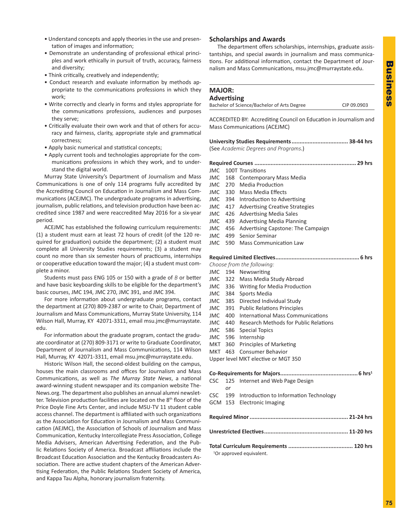- <span id="page-16-0"></span>• Understand concepts and apply theories in the use and presentation of images and information;
- Demonstrate an understanding of professional ethical principles and work ethically in pursuit of truth, accuracy, fairness and diversity;
- Think critically, creatively and independently;
- Conduct research and evaluate information by methods appropriate to the communications professions in which they work;
- Write correctly and clearly in forms and styles appropriate for the communications professions, audiences and purposes they serve;
- Critically evaluate their own work and that of others for accuracy and fairness, clarity, appropriate style and grammatical correctness;
- Apply basic numerical and statistical concepts;
- Apply current tools and technologies appropriate for the communications professions in which they work, and to understand the digital world.

Murray State University's Department of Journalism and Mass Communications is one of only 114 programs fully accredited by the Accrediting Council on Education in Journalism and Mass Communications (ACEJMC). The undergraduate programs in advertising, journalism, public relations, and television production have been accredited since 1987 and were reaccredited May 2016 for a six-year period.

ACEJMC has established the following curriculum requirements: (1) a student must earn at least 72 hours of credit (of the 120 required for graduation) outside the department; (2) a student must complete all University Studies requirements; (3) a student may count no more than six semester hours of practicums, internships or cooperative education toward the major; (4) a student must complete a minor.

Students must pass ENG 105 or 150 with a grade of *B* or better and have basic keyboarding skills to be eligible for the department's basic courses, JMC 194, JMC 270, JMC 391, and JMC 394.

For more information about undergraduate programs, contact the department at (270) 809-2387 or write to Chair, Department of Journalism and Mass Communications, Murray State University, 114 Wilson Hall, Murray, KY 42071-3311, email msu.jmc@murraystate. edu.

For information about the graduate program, contact the graduate coordinator at (270) 809-3171 or write to Graduate Coordinator, Department of Journalism and Mass Communications, 114 Wilson Hall, Murray, KY 42071-3311, email msu.jmc@murraystate.edu.

Historic Wilson Hall, the second-oldest building on the campus, houses the main classrooms and offices for Journalism and Mass Communications, as well as *The Murray State News*, a national award-winning student newspaper and its companion website The-News.org. The department also publishes an annual alumni newsletter. Television production facilities are located on the 8th floor of the Price Doyle Fine Arts Center, and include MSU-TV 11 student cable access channel. The department is affiliated with such organizations as the Association for Education in Journalism and Mass Communication (AEJMC), the Association of Schools of Journalism and Mass Communication, Kentucky Intercollegiate Press Association, College Media Advisers, American Advertising Federation, and the Public Relations Society of America. Broadcast affiliations include the Broadcast Education Association and the Kentucky Broadcasters Association. There are active student chapters of the American Advertising Federation, the Public Relations Student Society of America, and Kappa Tau Alpha, honorary journalism fraternity.

#### **Scholarships and Awards**

**MAJOR:**

The department offers scholarships, internships, graduate assistantships, and special awards in journalism and mass communications. For additional information, contact the Department of Journalism and Mass Communications, msu.jmc@murraystate.edu.

### **Advertising** Bachelor of Science/Bachelor of Arts Degree CIP 09.0903 ACCREDITED BY: Accrediting Council on Education in Journalism and Mass Communications (ACEJMC) **University Studies Requirements................................... 38-44 hrs** (See *Academic Degrees and Programs*.) **Required Courses ............................................................... 29 hrs** JMC 100T Transitions JMC 168 Contemporary Mass Media JMC 270 Media Production JMC 330 Mass Media Effects JMC 394 Introduction to Advertising JMC 417 Advertising Creative Strategies JMC 426 Advertising Media Sales JMC 439 Advertising Media Planning JMC 456 Advertising Capstone: The Campaign JMC 499 Senior Seminar JMC 590 Mass Communication Law **Required Limited Electives.................................................... 6 hrs** *Choose from the following:* JMC 194 Newswriting JMC 322 Mass Media Study Abroad JMC 336 Writing for Media Production JMC 384 Sports Media JMC 385 Directed Individual Study JMC 391 Public Relations Principles JMC 400 International Mass Communications JMC 440 Research Methods for Public Relations JMC 586 Special Topics JMC 596 Internship MKT 360 Principles of Marketing MKT 463 Consumer Behavior Upper level MKT elective or MGT 350 **Co-Requirements for Majors................................................6 hrs1** CSC 125 Internet and Web Page Design *or* CSC 199 Introduction to Information Technology GCM 153 Electronic Imaging **Required Minor............................................................. 21-24 hrs Unrestricted Electives.................................................... 11-20 hrs Total Curriculum Requirements ........................................ 120 hrs** <sup>1</sup>Or approved equivalent.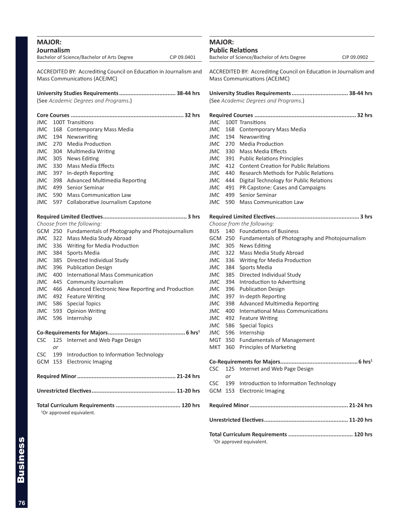<span id="page-17-0"></span>

| <b>MAJOR:</b><br>Journalism<br>Bachelor of Science/Bachelor of Arts Degree<br>CIP 09.0401 | <b>MAJOR:</b><br><b>Public Relations</b><br>Bachelor of Science/Bachelor of Arts Degree<br>CIP 09.0902 |
|-------------------------------------------------------------------------------------------|--------------------------------------------------------------------------------------------------------|
| ACCREDITED BY: Accrediting Council on Education in Journalism and                         | ACCREDITED BY: Accrediting Council on Education in Journalism and                                      |
| Mass Communications (ACEJMC)                                                              | Mass Communications (ACEJMC)                                                                           |
| (See Academic Degrees and Programs.)                                                      | (See Academic Degrees and Programs.)                                                                   |
|                                                                                           |                                                                                                        |
|                                                                                           |                                                                                                        |
| JMC 100T Transitions                                                                      | 100T Transitions<br>JMC.                                                                               |
| JMC.<br>168 Contemporary Mass Media                                                       | JMC<br>168 Contemporary Mass Media                                                                     |
| 194 Newswriting<br>JMC.                                                                   | 194 Newswriting<br>JMC                                                                                 |
| 270 Media Production<br><b>JMC</b>                                                        | JMC 270 Media Production                                                                               |
| <b>JMC</b><br>304 Multimedia Writing                                                      | JMC 330 Mass Media Effects                                                                             |
| JMC.<br>305 News Editing                                                                  | JMC 391 Public Relations Principles                                                                    |
| 330 Mass Media Effects<br>JMC.                                                            | <b>JMC</b> 412 Content Creation for Public Relations                                                   |
| JMC.<br>397 In-depth Reporting                                                            | 440 Research Methods for Public Relations<br>JMC                                                       |
| <b>JMC</b><br>398 Advanced Multimedia Reporting                                           | JMC 444 Digital Technology for Public Relations                                                        |
| JMC 499 Senior Seminar                                                                    | JMC 491 PR Capstone: Cases and Campaigns                                                               |
| 590 Mass Communication Law<br>JMC                                                         | JMC 499 Senior Seminar                                                                                 |
| JMC 597 Collaborative Journalism Capstone                                                 | JMC 590 Mass Communication Law                                                                         |
|                                                                                           |                                                                                                        |
| Choose from the following:                                                                | Choose from the following:                                                                             |
| GCM 250 Fundamentals of Photography and Photojournalism                                   | <b>BUS</b> 140 Foundations of Business                                                                 |
| JMC 322 Mass Media Study Abroad                                                           | GCM 250 Fundamentals of Photography and Photojournalism                                                |
| 336 Writing for Media Production<br>JMC                                                   | JMC 305 News Editing                                                                                   |
| JMC<br>384 Sports Media                                                                   | JMC 322 Mass Media Study Abroad                                                                        |
| JMC<br>385 Directed Individual Study                                                      | JMC<br>336 Writing for Media Production                                                                |
| 396 Publication Design<br>JMC.                                                            | JMC<br>384 Sports Media                                                                                |
| 400 International Mass Communication<br>JMC.                                              | JMC<br>385 Directed Individual Study                                                                   |
| 445 Community Journalism<br>JMC.                                                          | 394 Introduction to Advertising<br>JMC                                                                 |
| 466 Advanced Electronic New Reporting and Production<br>JMC                               | 396 Publication Design<br>JMC                                                                          |
| JMC<br>492 Feature Writing                                                                | JMC<br>397 In-depth Reporting                                                                          |
| 586 Special Topics<br>JMC                                                                 | 398 Advanced Multimedia Reporting<br>JMC                                                               |
| 593 Opinion Writing<br>JMC                                                                | 400 International Mass Communications<br>JMC                                                           |
| JMC 596 Internship                                                                        | JMC<br>492 Feature Writing                                                                             |
|                                                                                           | JMC 586 Special Topics                                                                                 |
|                                                                                           | <b>JMC</b><br>596 Internship                                                                           |
| 125 Internet and Web Page Design<br>CSC                                                   | MGT 350 Fundamentals of Management                                                                     |
| or                                                                                        | MKT 360 Principles of Marketing                                                                        |
| 199 Introduction to Information Technology<br>CSC                                         |                                                                                                        |
| GCM 153 Electronic Imaging                                                                |                                                                                                        |
|                                                                                           | 125 Internet and Web Page Design<br>CSC                                                                |
|                                                                                           | or                                                                                                     |
|                                                                                           | <b>CSC</b><br>199 Introduction to Information Technology                                               |
|                                                                                           | GCM 153 Electronic Imaging                                                                             |
| <sup>1</sup> Or approved equivalent.                                                      |                                                                                                        |
|                                                                                           |                                                                                                        |

**Total Curriculum Requirements ........................................ 120 hrs**

<sup>1</sup>Or approved equivalent.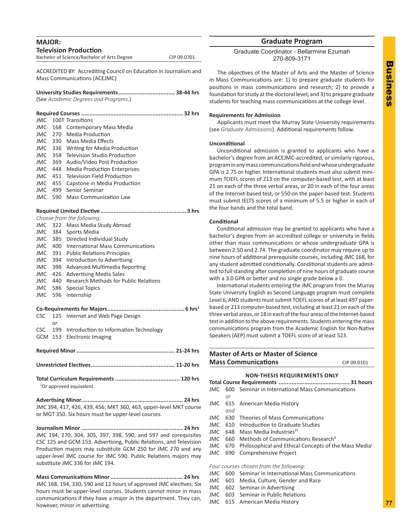<span id="page-18-0"></span>

| <b>MAJOR:</b>   |                                                                                                   |                                                                         |             |
|-----------------|---------------------------------------------------------------------------------------------------|-------------------------------------------------------------------------|-------------|
|                 |                                                                                                   | <b>Television Production</b>                                            |             |
|                 |                                                                                                   | Bachelor of Science/Bachelor of Arts Degree                             | CIP 09.0701 |
|                 | ACCREDITED BY: Accrediting Council on Education in Journalism and<br>Mass Communications (ACEJMC) |                                                                         |             |
|                 |                                                                                                   | (See Academic Degrees and Programs.)                                    |             |
|                 |                                                                                                   |                                                                         |             |
| JMC.<br>JMC.    |                                                                                                   | 100T Transitions<br>168 Contemporary Mass Media                         |             |
| JMC             |                                                                                                   | 270 Media Production                                                    |             |
| JMC.            | 330                                                                                               | Mass Media Effects                                                      |             |
| <b>JMC</b>      |                                                                                                   | 336 Writing for Media Production                                        |             |
|                 |                                                                                                   | <b>JMC</b> 358 Television Studio Production                             |             |
| JMC             |                                                                                                   | 369 Audio/Video Post Production                                         |             |
| JMC.            |                                                                                                   | 448 Media Production Enterprises                                        |             |
|                 |                                                                                                   | JMC 451 Television Field Production                                     |             |
|                 | JMC 455                                                                                           | Capstone in Media Production                                            |             |
|                 | JMC 499                                                                                           | Senior Seminar                                                          |             |
| JMC.            | 590                                                                                               | Mass Communication Law                                                  |             |
|                 |                                                                                                   |                                                                         |             |
|                 |                                                                                                   | Choose from the following:                                              |             |
| JMC             |                                                                                                   | 322 Mass Media Study Abroad                                             |             |
| JMC             |                                                                                                   | 384 Sports Media                                                        |             |
|                 | JMC 385                                                                                           | Directed Individual Study                                               |             |
| JMC.            |                                                                                                   | 400 International Mass Communications                                   |             |
| JMC             |                                                                                                   | 391 Public Relations Principles                                         |             |
|                 | JMC 394                                                                                           | Introduction to Advertising                                             |             |
|                 | JMC 398                                                                                           | Advanced Multimedia Reporting                                           |             |
| JMC<br>JMC 440  | 426                                                                                               | <b>Advertising Media Sales</b><br>Research Methods for Public Relations |             |
|                 |                                                                                                   |                                                                         |             |
| JMC 586<br>JMC. | 596                                                                                               | <b>Special Topics</b><br>Internship                                     |             |
|                 |                                                                                                   |                                                                         |             |
|                 |                                                                                                   |                                                                         |             |
| <b>CSC</b>      | 125                                                                                               | Internet and Web Page Design                                            |             |
|                 | or                                                                                                |                                                                         |             |
| <b>CSC</b>      | 199<br>GCM 153                                                                                    | Introduction to Information Technology<br><b>Electronic Imaging</b>     |             |
|                 |                                                                                                   |                                                                         |             |
|                 |                                                                                                   |                                                                         |             |
|                 |                                                                                                   |                                                                         |             |
|                 |                                                                                                   |                                                                         |             |
|                 |                                                                                                   | <sup>1</sup> Or approved equivalent.                                    |             |
|                 |                                                                                                   |                                                                         |             |
|                 |                                                                                                   | JMC 394, 417, 426, 439, 456; MKT 360, 463, upper-level MKT course       |             |
|                 |                                                                                                   | or MGT 350. Six hours must be upper-level courses.                      |             |
|                 |                                                                                                   |                                                                         |             |
|                 |                                                                                                   | JMC 194, 270, 304, 305, 397, 398, 590, and 597 and corequisites         |             |
|                 |                                                                                                   | CSC 125 and GCM 153. Advertising, Public Relations, and Television      |             |
|                 |                                                                                                   | Production majors may substitute GCM 250 for JMC 270 and any            |             |
|                 |                                                                                                   | upper-level JMC course for JMC 590. Public Relations majors may         |             |

**Mass Communications Minor............................................. 24 hrs** JMC 168, 194, 330, 590 and 12 hours of approved JMC electives. Six hours must be upper-level courses. Students cannot minor in mass communications if they have a major in the department. They can, however, minor in advertising.

substitute JMC 336 for JMC 194.

#### **Graduate Program**

Graduate Coordinator - Bellarmine Ezumah 270-809-3171

The objectives of the Master of Arts and the Master of Science in Mass Communications are: 1) to prepare graduate students for positions in mass communications and research; 2) to provide a foundation for study at the doctoral level; and 3) to prepare graduate students for teaching mass communications at the college level.

#### **Requirements for Admission**

Applicants must meet the Murray State University requirements (see *Graduate Admissions*). Additional requirements follow.

#### **Unconditional**

Unconditional admission is granted to applicants who have a bachelor's degree from an ACEJMC-accredited, or similarly rigorous, program in any mass communications field and whose undergraduate GPA is 2.75 or higher. International students must also submit minimum TOEFL scores of 213 on the computer-based test, with at least 21 on each of the three verbal areas, or 20 in each of the four areas of the Internet-based test, or 550 on the paper-based test. Students must submit IELTS scores of a minimum of 5.5 or higher in each of the four bands and the total band.

#### **Conditional**

Conditional admission may be granted to applicants who have a bachelor's degree from an accredited college or university in fields other than mass communications or whose undergraduate GPA is between 2.50 and 2.74. The graduate coordinator may require up to nine hours of additional prerequisite courses, including JMC 168, for any student admitted conditionally. Conditional students are admitted to full standing after completion of nine hours of graduate course with a 3.0 GPA or better and no single grade below a *B*.

International students entering the JMC program from the Murray State University English as Second Language program must complete Level 6, AND students must submit TOEFL scores of at least 497 paperbased or 213 computer-based test, including at least 21 on each of the three verbal areas, or 18 in each of the four areas of the Internet-based test in addition to the above requirements. Students entering the mass communications program from the Academic English for Non-Native Speakers (AEP) must submit a TOEFL score of at least 523.

### **Master of Arts or Master of Science Mass Communications** CIP 09.0101

#### **NON-THESIS REQUIREMENTS ONLY**

|     |     | JMC 600 Seminar in International Mass Communications                      |  |  |
|-----|-----|---------------------------------------------------------------------------|--|--|
|     | or  |                                                                           |  |  |
|     |     | JMC 615 American Media History                                            |  |  |
|     | and |                                                                           |  |  |
|     |     | JMC 630 Theories of Mass Communications                                   |  |  |
|     |     | JMC 610 Introduction to Graduate Studies                                  |  |  |
| JMC |     | 648 Mass Media Industries <sup>PT</sup>                                   |  |  |
| JMC |     | 660 Methods of Communications Research <sup>R</sup>                       |  |  |
|     |     | JMC 670 Philosophical and Ethical Concepts of the Mass Media <sup>L</sup> |  |  |
|     |     | JMC 690 Comprehensive Project                                             |  |  |
|     |     |                                                                           |  |  |
|     |     | Four courses chosen from the following:                                   |  |  |
|     |     | JMC 600 Seminar in International Mass Communications                      |  |  |

- JMC 601 Media, Culture, Gender and Race
- JMC 602 Seminar in Advertising
- JMC 603 Seminar in Public Relations
- JMC 615 American Media History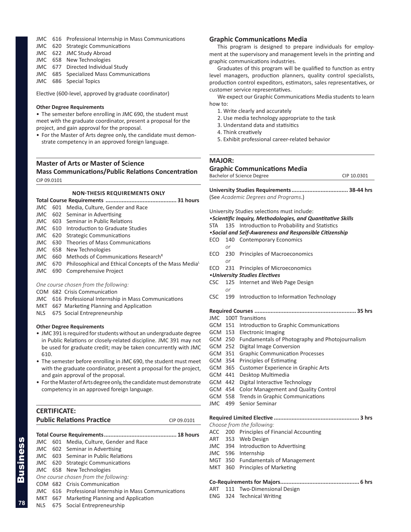#### <span id="page-19-0"></span>JMC 616 Professional Internship in Mass Communications

- JMC 620 Strategic Communications
- JMC 622 JMC Study Abroad
- JMC 658 New Technologies
- JMC 677 Directed Individual Study
- JMC 685 Specialized Mass Communications
- JMC 686 Special Topics

Elective (600-level, approved by graduate coordinator)

#### **Other Degree Requirements**

• The semester before enrolling in JMC 690, the student must meet with the graduate coordinator, present a proposal for the project, and gain approval for the proposal.

• For the Master of Arts degree only, the candidate must demonstrate competency in an approved foreign language.

### **Master of Arts or Master of Science Mass Communications/Public Relations Concentration** CIP 09.0101

#### **NON-THESIS REQUIREMENTS ONLY**

|  |  | JMC 601 Media, Culture, Gender and Race                      |  |
|--|--|--------------------------------------------------------------|--|
|  |  | JMC 602 Seminar in Advertising                               |  |
|  |  | JMC 603 Seminar in Public Relations                          |  |
|  |  | JMC 610 Introduction to Graduate Studies                     |  |
|  |  | JMC 620 Strategic Communications                             |  |
|  |  | JMC 630 Theories of Mass Communications                      |  |
|  |  | JMC 658 New Technologies                                     |  |
|  |  | JMC 660 Methods of Communications Research <sup>R</sup>      |  |
|  |  | JMC 670 Philosophical and Ethical Concepts of the Mass Media |  |
|  |  | JMC 690 Comprehensive Project                                |  |
|  |  |                                                              |  |

#### *One course chosen from the following:*

- COM 682 Crisis Communication
- JMC 616 Professional Internship in Mass Communications
- MKT 667 Marketing Planning and Application
- NLS 675 Social Entrepreneurship

#### **Other Degree Requirements**

- JMC 391 is required for students without an undergraduate degree in Public Relations or closely-related discipline. JMC 391 may not be used for graduate credit; may be taken concurrently with JMC 610.
- The semester before enrolling in JMC 690, the student must meet with the graduate coordinator, present a proposal for the project, and gain approval of the proposal.
- For the Master of Arts degree only, the candidate must demonstrate competency in an approved foreign language.

| <b>CERTIFICATE:</b>              |             |
|----------------------------------|-------------|
| <b>Public Relations Practice</b> | CIP 09.0101 |
|                                  |             |

#### **Total Course Requirements............................................. 18 hours** JMC 601 Media, Culture, Gender and Race JMC 602 Seminar in Advertising JMC 603 Seminar in Public Relations JMC 620 Strategic Communications JMC 658 New Technologies *One course chosen from the following:*

- COM 682 Crisis Communication
- JMC 616 Professional Internship in Mass Communications
- MKT 667 Marketing Planning and Application
- NLS 675 Social Entrepreneurship

#### **Graphic Communications Media**

This program is designed to prepare individuals for employment at the supervisory and management levels in the printing and graphic communications industries.

Graduates of this program will be qualified to function as entry level managers, production planners, quality control specialists, production control expeditors, estimators, sales representatives, or customer service representatives.

We expect our Graphic Communications Media students to learn how to:

- 1. Write clearly and accurately
- 2. Use media technology appropriate to the task
- 3. Understand data and statisitics
- 4. Think creatively
- 5. Exhibit professional career-related behavior

#### **MAJOR:**

#### **Graphic Communications Media**

Bachelor of Science Degree CIP 10.0301

**University Studies Requirements................................... 38-44 hrs** (See *Academic Degrees and Programs*.)

University Studies selections must include:

*•Scientific Inquiry, Methodologies, and Quantitative Skills*

- STA 135 Introduction to Probability and Statistics
- *•Social and Self-Awareness and Responsible Citizenship*
- ECO 140 Contemporary Economics *or* ECO 230 Principles of Macroeconomics *or* ECO 231 Principles of Microeconomics *•University Studies Electives* CSC 125 Internet and Web Page Design *or* CSC 199 Introduction to Information Technology **Required Courses ............................................................... 35 hrs** JMC 100T Transitions GCM 151 Introduction to Graphic Communications GCM 153 Electronic Imaging GCM 250 Fundamentals of Photography and Photojournalism GCM 252 Digital Image Conversion GCM 351 Graphic Communication Processes GCM 354 Principles of Estimating GCM 365 Customer Experience in Graphic Arts GCM 441 Desktop Multimedia GCM 442 Digital Interactive Technology GCM 454 Color Management and Quality Control GCM 558 Trends in Graphic Communications
- JMC 499 Senior Seminar

**Required Limited Elective ..................................................... 3 hrs**

- *Choose from the following:* ACC 200 Principles of Financial Accounting
- ART 353 Web Design
- JMC 394 Introduction to Advertising
- JMC 596 Internship
- MGT 350 Fundamentals of Management
- MKT 360 Principles of Marketing

#### **Co-Requirements for Majors................................................. 6 hrs**

- ART 111 Two-Dimensional Design
- ENG 324 Technical Writing

**78**

Business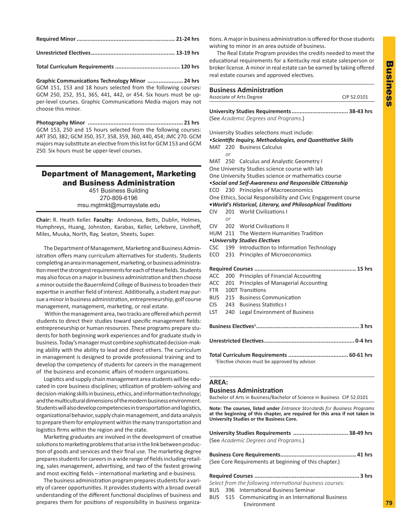<span id="page-20-0"></span>

**Unrestricted Electives.................................................... 13-19 hrs**

**Total Curriculum Requirements ........................................ 120 hrs**

**Graphic Communications Technology Minor ...................... 24 hrs** GCM 151, 153 and 18 hours selected from the following courses: GCM 250, 252, 351, 365, 441, 442, or 454. Six hours must be upper-level courses. Graphic Communications Media majors may not choose this minor.

**Photography Minor ........................................................... 21 hrs** GCM 153, 250 and 15 hours selected from the following courses: ART 350, 382; GCM 350, 357, 358, 359, 360, 440, 454; JMC 270. GCM majors may substitute an elective from this list for GCM 153 and GCM 250. Six hours must be upper-level courses.

### Department of Management, Marketing and Business Administration

451 Business Building 270-809-6196 msu.mgtmkt@murraystate.edu

**Chair:** R. Heath Keller. **Faculty:** Andonova, Betts, Dublin, Holmes, Humphreys, Huang, Johnston, Karabas, Keller, Lefebvre, Linnhoff, Miles, Muuka, North, Ray, Seaton, Sheets, Super.

The Department of Management, Marketing and Business Administration offers many curriculum alternatives for students. Students completing an area in management, marketing, or business administration meet the strongest requirements for each of these fields. Students may also focus on a major in business administration and then choose a minor outside the Bauernfeind College of Business to broaden their expertise in another field of interest. Additionally, a student may pursue a minor in business administration, entrepreneurship, golf course management, management, marketing, or real estate.

 Within the management area, two tracks are offered which permit students to direct their studies toward specific management fields: entrepreneurship or human resources. These programs prepare students for both beginning work experiences and for graduate study in business. Today's manager must combine sophisticated decision-making ability with the ability to lead and direct others. The curriculum in management is designed to provide professional training and to develop the competency of students for careers in the management of the business and economic affairs of modern organizations.

Logistics and supply chain management area students will be educated in core business disciplines; utilization of problem-solving and decision-making skills in business, ethics, and information technology; and the multicultural dimensions of the modern business environment. Students will also develop competencies in transportation and logistics, organizational behavior, supply chain management, and data analysis to prepare them for employment within the many transportation and logistics firms within the region and the state.

Marketing graduates are involved in the development of creative solutions to marketing problems that arise in the link between production of goods and services and their final use. The marketing degree prepares students for careers in a wide range of fields including retailing, sales management, advertising, and two of the fastest growing and most exciting fields – international marketing and e-business.

The business administration program prepares students for a variety of career opportunities. It provides students with a broad overall understanding of the different functional disciplines of business and prepares them for positions of responsibility in business organizations. A major in business administration is offered for those students wishing to minor in an area outside of business.

The Real Estate Program provides the credits needed to meet the educational requirements for a Kentucky real estate salesperson or broker license. A minor in real estate can be earned by taking offered real estate courses and approved electives.

|            | <b>Business Administration</b><br>Associate of Arts Degree<br>CIP 52.0101 |                                                               |  |  |
|------------|---------------------------------------------------------------------------|---------------------------------------------------------------|--|--|
|            | (See Academic Degrees and Programs.)                                      |                                                               |  |  |
|            |                                                                           |                                                               |  |  |
|            |                                                                           | University Studies selections must include:                   |  |  |
|            |                                                                           | • Scientific Inquiry, Methodologies, and Quantitative Skills  |  |  |
|            | MAT 220<br>or                                                             | <b>Business Calculus</b>                                      |  |  |
|            | MAT 250                                                                   | <b>Calculus and Analystic Geometry I</b>                      |  |  |
|            |                                                                           | One University Studies science course with lab                |  |  |
|            |                                                                           | One University Studies science or mathematics course          |  |  |
|            |                                                                           | • Social and Self-Awareness and Responsible Citizenship       |  |  |
| ECO        | 230                                                                       | <b>Principles of Macroeconomics</b>                           |  |  |
|            |                                                                           | One Ethics, Social Responsibility and Civic Engagement course |  |  |
|            |                                                                           | . World's Historical, Literary, and Philosophical Traditions  |  |  |
| CIV.       |                                                                           | 201 World Civilizations I                                     |  |  |
|            | or                                                                        |                                                               |  |  |
| CIV -      |                                                                           | 202 World Civilizations II                                    |  |  |
|            |                                                                           | HUM 211 The Western Humanities Tradition                      |  |  |
|            |                                                                           | • University Studies Electives                                |  |  |
| <b>CSC</b> |                                                                           | 199 Introduction to Information Technology                    |  |  |
| ECO        | 231                                                                       | Principles of Microeconomics                                  |  |  |
|            |                                                                           |                                                               |  |  |
| <b>ACC</b> | 200                                                                       | Principles of Financial Accounting                            |  |  |
| <b>ACC</b> | 201                                                                       | Principles of Managerial Accounting                           |  |  |
| <b>FTR</b> |                                                                           | 100T Transitions                                              |  |  |
| <b>BUS</b> | 215                                                                       | <b>Business Communication</b>                                 |  |  |
| <b>CIS</b> | 243                                                                       | <b>Business Statistics I</b>                                  |  |  |
| LST        | 240                                                                       | Legal Environment of Business                                 |  |  |
|            |                                                                           |                                                               |  |  |
|            |                                                                           |                                                               |  |  |
|            |                                                                           | <sup>1</sup> Elective choices must be approved by advisor.    |  |  |

#### **AREA:**

#### **Business Administration**

Bachelor of Arts in Business/Bachelor of Science in Business CIP 52.0101

**Note: The courses, listed under** *Entrance Standards for Business Programs* **at the beginning of this chapter, are required for this area if not taken in University Studies or the Business Core.**

| University Studies Requirements  38-49 hrs |  |
|--------------------------------------------|--|
| (See Academic Degrees and Programs.)       |  |
|                                            |  |

(See Core Requirements at beginning of this chapter.)

#### **Required Courses ................................................................. 3 hrs**

*Select from the following international business courses:*

- BUS 396 International Business Seminar
- BUS 515 Communicating in an International Business Environment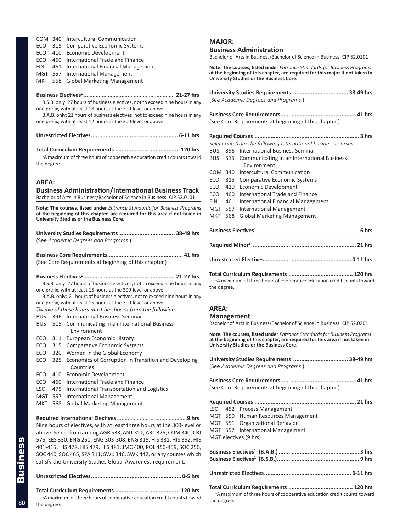<span id="page-21-0"></span>

| COM 340 Intercultural Communication |  |
|-------------------------------------|--|
|-------------------------------------|--|

- ECO 315 Comparative Economic Systems
- ECO 410 Economic Development
- ECO 460 International Trade and Finance
- FIN 461 International Financial Management
- MGT 557 International Management

MKT 568 Global Marketing Management

#### **Business Electives1** ............................................................ **21-27 hrs**

B.S.B. only: 27 hours of business electives, not to exceed nine hours in any one prefix, with at least 18 hours at the 300-level or above.

B.A.B. only: 21 hours of business electives, not to exceed nine hours in any one prefix, with at least 12 hours at the 300-level or above.

**Unrestricted Electives...................................................... 6-11 hrs** 

**Total Curriculum Requirements ........................................ 120 hrs** 

<sup>1</sup>A maximum of three hours of cooperative education credit counts toward the degree.

#### **AREA:**

**Business Administration/International Business Track** Bachelor of Arts in Business/Bachelor of Science in Business CIP 52.0101

**Note: The courses, listed under** *Entrance Standards for Business Programs* **at the beginning of this chapter, are required for this area if not taken in University Studies or the Business Core.**

**University Studies Requirements .................................. 38-49 hrs** (See *Academic Degrees and Programs*.)

**Business Core Requirements............................................... 41 hrs** (See Core Requirements at beginning of this chapter.)

**Business Electives1......................................................... 21-27 hrs** B.S.B. only: 27 hours of business electives, not to exceed nine hours in any one prefix, with at least 15 hours at the 300-level or above.

B.A.B. only: 21 hours of business electives, not to exceed nine hours in any one prefix, with at least 15 hours at the 300-level or above.

- *Twelve of these hours must be chosen from the following:*
- BUS 396 International Business Seminar
- BUS 515 Communicating in an International Business Environment
- ECO 311 European Economic History
- ECO 315 Comparative Economic Systems
- ECO 320 Women in the Global Economy
- ECO 325 Economics of Corruption in Transition and Developing Countries
- ECO 410 Economic Development
- ECO 460 International Trade and Finance
- LSC 475 International Transportation and Logistics
- MGT 557 International Management
- MKT 568 Global Marketing Management

**Required International Electives**..............................................**9 hrs** Nine hours of electives, with at least three hours at the 300-level or above. Select from among AGR 533, ANT 311, ARC 325, COM 340, CRJ 575, EES 330, ENG 250, ENG 303-308, ENG 315, HIS 331, HIS 352, HIS 401-415, HIS 478, HIS 479, HIS 481, JMC 400, POL 450-459, SOC 250, SOC 440, SOC 465, SPA 311, SWK 346, SWK 442, or any courses which satisfy the University Studies Global Awareness requirement.

```
Unrestricted Electives........................................................ 0-5 hrs 
Total Curriculum Requirements ........................................ 120 hrs <sup>1</sup>A maximum of three hours of cooperative education credit counts toward
```
#### **MAJOR:**

#### **Business Administration**

Bachelor of Arts in Business/Bachelor of Science in Business CIP 52.0101

**Note: The courses, listed under** *Entrance Standards for Business Programs* **at the beginning of this chapter, are required for this major if not taken in University Studies or the Business Core.**

|            |         | University Studies Requirements  38-49 hrs<br>(See Academic Degrees and Programs.) |
|------------|---------|------------------------------------------------------------------------------------|
|            |         | (See Core Requirements at beginning of this chapter.)                              |
|            |         |                                                                                    |
|            |         |                                                                                    |
|            |         | Select one from the following international business courses:                      |
|            |         | BUS 396 International Business Seminar                                             |
|            |         | BUS 515 Communicating in an International Business                                 |
|            |         | <b>Fnvironment</b>                                                                 |
|            | COM 340 | Intercultural Communication                                                        |
| ECO.       | 315     | <b>Comparative Economic Systems</b>                                                |
| ECO        | 410     | Economic Development                                                               |
| ECO        | 460     | International Trade and Finance                                                    |
| <b>FIN</b> | 461     | <b>International Financial Management</b>                                          |
| MGT        | 557     | <b>International Management</b>                                                    |
| MKT        | 568     | <b>Global Marketing Management</b>                                                 |
|            |         |                                                                                    |
|            |         |                                                                                    |
|            |         |                                                                                    |
|            |         |                                                                                    |

<sup>1</sup>A maximum of three hours of cooperative education credit counts toward the degree.

#### **AREA:**

the degree.

#### **Management**

Bachelor of Arts in Business/Bachelor of Science in Business CIP 52.0201

**Note: The courses, listed under** *Entrance Standards for Business Programs* **at the beginning of this chapter, are required for this area if not taken in University Studies or the Business Core.**

|  | University Studies Requirements  38-49 hrs                                          |  |
|--|-------------------------------------------------------------------------------------|--|
|  | (See Academic Degrees and Programs.)                                                |  |
|  |                                                                                     |  |
|  | (See Core Requirements at beginning of this chapter.)                               |  |
|  |                                                                                     |  |
|  | LSC 452 Process Management                                                          |  |
|  | MGT 550 Human Resources Management                                                  |  |
|  | MGT 551 Organizational Behavior                                                     |  |
|  | MGT 557 International Management                                                    |  |
|  | MGT electives (9 hrs)                                                               |  |
|  |                                                                                     |  |
|  |                                                                                     |  |
|  | <sup>1</sup> A maximum of three hours of cooperative education credit counts toward |  |

Business

**80**

the degree.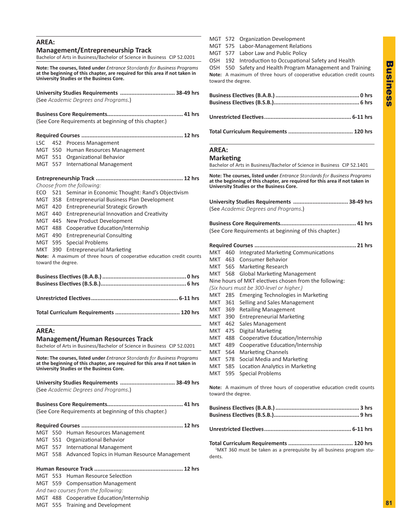### <span id="page-22-0"></span>**AREA: Management/Entrepreneurship Track** Bachelor of Arts in Business/Bachelor of Science in Business CIP 52.0201 **Note: The courses, listed under** *Entrance Standards for Business Programs* **at the beginning of this chapter, are required for this area if not taken in University Studies or the Business Core. University Studies Requirements .................................. 38-49 hrs** (See *Academic Degrees and Programs*.) **Business Core Requirements............................................... 41 hrs** (See Core Requirements at beginning of this chapter.) **Required Courses ............................................................... 12 hrs** LSC 452 Process Management MGT 550 Human Resources Management MGT 551 Organizational Behavior MGT 557 International Management **Entrepreneurship Track ...................................................... 12 hrs** *Choose from the following:* ECO 521 Seminar in Economic Thought: Rand's Objectivism MGT 358 Entrepreneurial Business Plan Development MGT 420 Entrepreneurial Strategic Growth MGT 440 Entrepreneurial Innovation and Creativity MGT 445 New Product Development MGT 488 Cooperative Education/Internship MGT 490 Entrepreneurial Consulting MGT 595 Special Problems MKT 390 Entrepreneurial Marketing **Note:** A maximum of three hours of cooperative education credit counts toward the degree. **Business Electives (B.A.B.).................................................... 0 hrs Business Electives (B.S.B.)..................................................... 6 hrs Unrestricted Electives...................................................... 6-11 hrs Total Curriculum Requirements ........................................ 120 hrs AREA: Management/Human Resources Track** Bachelor of Arts in Business/Bachelor of Science in Business CIP 52.0201 **Note: The courses, listed under** *Entrance Standards for Business Programs* **at the beginning of this chapter, are required for this area if not taken in University Studies or the Business Core. University Studies Requirements .................................. 38-49 hrs** (See *Academic Degrees and Programs*.) **Business Core Requirements............................................... 41 hrs** (See Core Requirements at beginning of this chapter.) **Required Courses ............................................................... 12 hrs** MGT 550 Human Resources Management MGT 551 Organizational Behavior MGT 557 International Management MGT 558 Advanced Topics in Human Resource Management

**Human Resource Track ....................................................... 12 hrs** MGT 553 Human Resource Selection

MGT 559 Compensation Management

*And two courses from the following:*

MGT 488 Cooperative Education/Internship

MGT 555 Training and Development

MGT 572 Organization Development MGT 575 Labor-Management Relations MGT 577 Labor Law and Public Policy OSH 192 Introduction to Occupational Safety and Health OSH 550 Safety and Health Program Management and Training **Note:** A maximum of three hours of cooperative education credit counts toward the degree. **Business Electives (B.A.B.).................................................... 0 hrs Business Electives (B.S.B.)..................................................... 6 hrs Unrestricted Electives...................................................... 6-11 hrs** 

### **Total Curriculum Requirements ........................................ 120 hrs**

### **AREA:**

### **Marketing**

Bachelor of Arts in Business/Bachelor of Science in Business CIP 52.1401

**Note: The courses, listed under** *Entrance Standards for Business Programs* **at the beginning of this chapter, are required for this area if not taken in University Studies or the Business Core.**

| University Studies Requirements  38-49 hrs                                                  |         |                                                        |  |  |  |
|---------------------------------------------------------------------------------------------|---------|--------------------------------------------------------|--|--|--|
| (See Academic Degrees and Programs.)                                                        |         |                                                        |  |  |  |
| (See Core Requirements at beginning of this chapter.)                                       |         |                                                        |  |  |  |
|                                                                                             |         |                                                        |  |  |  |
|                                                                                             |         | MKT 460 Integrated Marketing Communications            |  |  |  |
|                                                                                             |         | MKT 463 Consumer Behavior                              |  |  |  |
|                                                                                             |         | MKT 565 Marketing Research                             |  |  |  |
|                                                                                             |         | MKT 568 Global Marketing Management                    |  |  |  |
|                                                                                             |         | Nine hours of MKT electives chosen from the following: |  |  |  |
|                                                                                             |         | (Six hours must be 300-level or higher.)               |  |  |  |
|                                                                                             |         | MKT 285 Emerging Technologies in Marketing             |  |  |  |
|                                                                                             | MKT 361 | Selling and Sales Management                           |  |  |  |
| MKT 369                                                                                     |         | <b>Retailing Management</b>                            |  |  |  |
|                                                                                             | MKT 390 | <b>Entrepreneurial Marketing</b>                       |  |  |  |
|                                                                                             | MKT 462 | Sales Management                                       |  |  |  |
| MKT 475                                                                                     |         | Digital Marketing                                      |  |  |  |
| MKT 488                                                                                     |         | Cooperative Education/Internship                       |  |  |  |
| MKT 489                                                                                     |         | Cooperative Education/Internship                       |  |  |  |
| MKT 564                                                                                     |         | <b>Marketing Channels</b>                              |  |  |  |
|                                                                                             | MKT 578 | Social Media and Marketing                             |  |  |  |
|                                                                                             | MKT 585 | Location Analytics in Marketing                        |  |  |  |
| MKT                                                                                         | 595     | <b>Special Problems</b>                                |  |  |  |
| Note: A maximum of three hours of cooperative education credit counts<br>toward the degree. |         |                                                        |  |  |  |
|                                                                                             |         |                                                        |  |  |  |
|                                                                                             |         |                                                        |  |  |  |

**Total Curriculum Requirements ........................................ 120 hrs** <sup>1</sup>MKT 360 must be taken as a prerequisite by all business program students.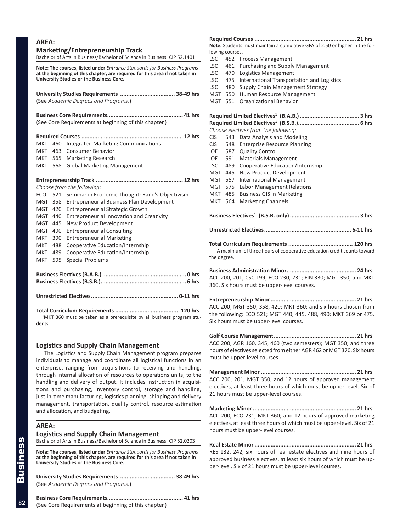<span id="page-23-0"></span>

| <b>AREA:</b><br><b>Marketing/Entrepreneurship Track</b><br>Bachelor of Arts in Business/Bachelor of Science in Business CIP 52.1401                                                                  |         |                                                  |  |  |
|------------------------------------------------------------------------------------------------------------------------------------------------------------------------------------------------------|---------|--------------------------------------------------|--|--|
| Note: The courses, listed under Entrance Standards for Business Programs<br>at the beginning of this chapter, are required for this area if not taken in<br>University Studies or the Business Core. |         |                                                  |  |  |
| University Studies Requirements  38-49 hrs<br>(See Academic Degrees and Programs.)                                                                                                                   |         |                                                  |  |  |
| (See Core Requirements at beginning of this chapter.)                                                                                                                                                |         |                                                  |  |  |
|                                                                                                                                                                                                      |         |                                                  |  |  |
| MKT                                                                                                                                                                                                  | 460     | <b>Integrated Marketing Communications</b>       |  |  |
| MKT                                                                                                                                                                                                  | 463     | Consumer Behavior                                |  |  |
| MKT                                                                                                                                                                                                  | 565     | <b>Marketing Research</b>                        |  |  |
|                                                                                                                                                                                                      | MKT 568 | <b>Global Marketing Management</b>               |  |  |
|                                                                                                                                                                                                      |         |                                                  |  |  |
|                                                                                                                                                                                                      |         | Choose from the following:                       |  |  |
| ECO                                                                                                                                                                                                  | 521     | Seminar in Economic Thought: Rand's Objectivism  |  |  |
| MGT                                                                                                                                                                                                  | 358     | <b>Entrepreneurial Business Plan Development</b> |  |  |
| MGT                                                                                                                                                                                                  | 420     | <b>Entrepreneurial Strategic Growth</b>          |  |  |
| MGT                                                                                                                                                                                                  | 440     | <b>Entrepreneurial Innovation and Creativity</b> |  |  |
| MGT 445                                                                                                                                                                                              |         | New Product Development                          |  |  |
| MGT 490                                                                                                                                                                                              |         | <b>Entrepreneurial Consulting</b>                |  |  |
| MKT                                                                                                                                                                                                  | 390     | <b>Entrepreneurial Marketing</b>                 |  |  |
| MKT                                                                                                                                                                                                  | 488     | Cooperative Education/Internship                 |  |  |
| мкт                                                                                                                                                                                                  | 489     | Cooperative Education/Internship                 |  |  |
| MKT                                                                                                                                                                                                  | 595     | <b>Special Problems</b>                          |  |  |
|                                                                                                                                                                                                      |         |                                                  |  |  |
|                                                                                                                                                                                                      |         |                                                  |  |  |
|                                                                                                                                                                                                      |         | Total Curriculum Poquiromonte<br>$120$ hrs       |  |  |

**Total Curriculum Requirements ........................................ 120 hrs** <sup>1</sup>MKT 360 must be taken as a prerequisite by all business program students.

#### **Logistics and Supply Chain Management**

The Logistics and Supply Chain Management program prepares individuals to manage and coordinate all logistical functions in an enterprise, ranging from acquisitions to receiving and handling, through internal allocation of resources to operations units, to the handling and delivery of output. It includes instruction in acquisitions and purchasing, inventory control, storage and handling, just-in-time manufacturing, logistics planning, shipping and delivery management, transportation, quality control, resource estimation and allocation, and budgeting.

### **AREA:**

#### **Logistics and Supply Chain Management**

Bachelor of Arts in Business/Bachelor of Science in Business CIP 52.0203

**Note: The courses, listed under** *Entrance Standards for Business Programs* **at the beginning of this chapter, are required for this area if not taken in University Studies or the Business Core.**

**University Studies Requirements .................................. 38-49 hrs** (See *Academic Degrees and Programs*.)

**Business Core Requirements............................................... 41 hrs** (See Core Requirements at beginning of this chapter.)

| Note: Students must maintain a cumulative GPA of 2.50 or higher in the fol-                        |     |                                            |  |  |  |
|----------------------------------------------------------------------------------------------------|-----|--------------------------------------------|--|--|--|
| lowing courses.                                                                                    |     |                                            |  |  |  |
| LSC                                                                                                | 452 | <b>Process Management</b>                  |  |  |  |
| LSC                                                                                                | 461 | Purchasing and Supply Management           |  |  |  |
| LSC                                                                                                | 470 | Logistics Management                       |  |  |  |
| LSC 475                                                                                            |     | International Transportation and Logistics |  |  |  |
| LSC 480                                                                                            |     | Supply Chain Management Strategy           |  |  |  |
| MGT 550                                                                                            |     | Human Resource Management                  |  |  |  |
| MGT                                                                                                | 551 | Organizational Behavior                    |  |  |  |
|                                                                                                    |     |                                            |  |  |  |
|                                                                                                    |     |                                            |  |  |  |
|                                                                                                    |     | Choose electives from the following:       |  |  |  |
| CIS                                                                                                | 543 | Data Analysis and Modeling                 |  |  |  |
| <b>CIS</b>                                                                                         | 548 | <b>Enterprise Resource Planning</b>        |  |  |  |
| IOE                                                                                                |     | 587 Quality Control                        |  |  |  |
| IOE                                                                                                | 591 | <b>Materials Management</b>                |  |  |  |
| LSC                                                                                                | 489 | Cooperative Education/Internship           |  |  |  |
| MGT 445                                                                                            |     | New Product Development                    |  |  |  |
| MGT 557                                                                                            |     | <b>International Management</b>            |  |  |  |
| MGT                                                                                                | 575 | Labor Management Relations                 |  |  |  |
| MKT 485                                                                                            |     | <b>Business GIS in Marketing</b>           |  |  |  |
| MKT                                                                                                | 564 | <b>Marketing Channels</b>                  |  |  |  |
|                                                                                                    |     |                                            |  |  |  |
|                                                                                                    |     |                                            |  |  |  |
| <sup>1</sup> A maximum of three hours of cooperative education credit counts toward<br>the degree. |     |                                            |  |  |  |

**Business Administration Minor........................................... 24 hrs** ACC 200, 201; CSC 199; ECO 230, 231; FIN 330; MGT 350; and MKT 360. Six hours must be upper-level courses.

**Entrepreneurship Minor..................................................... 21 hrs** ACC 200; MGT 350, 358, 420; MKT 360; and six hours chosen from the following: ECO 521; MGT 440, 445, 488, 490; MKT 369 or 475. Six hours must be upper-level courses.

**Golf Course Management................................................... 21 hrs** ACC 200; AGR 160, 345, 460 (two semesters); MGT 350; and three hours of electives selected from either AGR 462 or MGT 370. Six hours must be upper-level courses.

**Management Minor ........................................................... 21 hrs** ACC 200, 201; MGT 350; and 12 hours of approved management electives, at least three hours of which must be upper-level. Six of 21 hours must be upper-level courses.

**Marketing Minor................................................................ 21 hrs** ACC 200, ECO 231, MKT 360; and 12 hours of approved marketing electives, at least three hours of which must be upper-level. Six of 21 hours must be upper-level courses.

**Real Estate Minor............................................................... 21 hrs** RES 132, 242, six hours of real estate electives and nine hours of approved business electives, at least six hours of which must be upper-level. Six of 21 hours must be upper-level courses.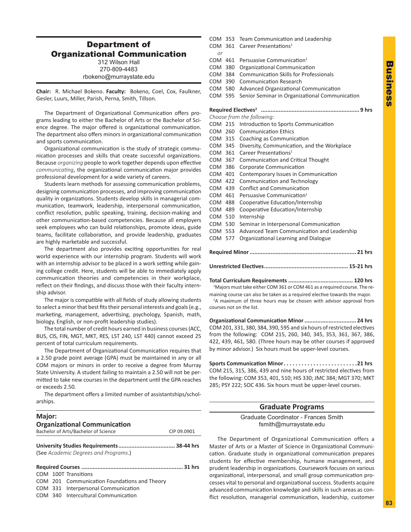### <span id="page-24-0"></span>Department of Organizational Communication 312 Wilson Hall

270-809-4483 rbokeno@murraystate.edu

**Chair:** R. Michael Bokeno. **Faculty:** Bokeno, Coel, Cox, Faulkner, Gesler, Luurs, Miller, Parish, Perna, Smith, Tillson.

The Department of Organizational Communication offers programs leading to either the Bachelor of Arts or the Bachelor of Science degree. The major offered is organizational communication. The department also offers minors in organizational communication and sports communication.

Organizational communication is the study of strategic communication processes and skills that create successful organizations. Because *organizing* people to work together depends upon effective *communicating*, the organizational communication major provides professional development for a wide variety of careers.

Students learn methods for assessing communication problems, designing communication processes, and improving communication quality in organizations. Students develop skills in managerial communication, teamwork, leadership, interpersonal communication, conflict resolution, public speaking, training, decision-making and other communication-based competencies. Because all employers seek employees who can build relationships, promote ideas, guide teams, facilitate collaboration, and provide leadership, graduates are highly marketable and successful.

The department also provides exciting opportunities for real world experience with our internship program. Students will work with an internship advisor to be placed in a work setting while gaining college credit. Here, students will be able to immediately apply communication theories and competencies in their workplace, reflect on their findings, and discuss those with their faculty internship advisor.

The major is compatible with all fields of study allowing students to select a minor that best fits their personal interests and goals (e.g., marketing, management, advertising, psychology, Spanish, math, biology, English, or non-profit leadership studies).

The total number of credit hours earned in business courses (ACC, BUS, CIS, FIN, MGT, MKT, RES, LST 240, LST 440) cannot exceed 25 percent of total curriculum requirements.

The Department of Organizational Communication requires that a 2.50 grade point average (GPA) must be maintained in any or all COM majors or minors in order to receive a degree from Murray State University. A student failing to maintain a 2.50 will not be permitted to take new courses in the department until the GPA reaches or exceeds 2.50.

The department offers a limited number of assistantships/scholarships.

| Major:                               |             |
|--------------------------------------|-------------|
|                                      |             |
| <b>Organizational Communication</b>  |             |
| Bachelor of Arts/Bachelor of Science | CIP 09.0901 |
| (See Academic Degrees and Programs.) |             |
|                                      |             |

### COM 100T Transitions COM 201 Communication Foundations and Theory COM 331 Interpersonal Communication COM 340 Intercultural Communication

- COM 353 Team Communication and Leadership COM 361 Career Presentations<sup>1</sup> *or* COM 461 Persuasive Communication<sup>1</sup> COM 380 Organizational Communication COM 384 Communication Skills for Professionals COM 390 Communication Research COM 580 Advanced Organizational Communication COM 595 Senior Seminar in Organizational Communication **Required Electives2 ............................................................. 9 hrs** *Choose from the following:*
- COM 215 Introduction to Sports Communication COM 260 Communication Ethics COM 315 Coaching as Communication COM 345 Diversity, Communication, and the Workplace COM 361 Career Presentations<sup>1</sup> COM 367 Communication and Critical Thought COM 386 Corporate Communication COM 401 Contemporary Issues in Communication COM 422 Communication and Technology COM 439 Conflict and Communication COM 461 Persuasive Communication<sup>1</sup> COM 488 Cooperative Education/Internship COM 489 Cooperative Education/Internship COM 510 Internship COM 530 Seminar in Interpersonal Communication COM 553 Advanced Team Communication and Leadership COM 577 Organizational Learning and Dialogue **Required Minor.................................................................. 21 hrs**
- **Unrestricted Electives.................................................... 15-21 hrs**

**Total Curriculum Requirements ........................................ 120 hrs**

<sup>1</sup>Majors must take either COM 361 or COM 461 as a required course. The remaining course can also be taken as a required elective towards the major.

<sup>2</sup>A maximum of three hours may be chosen with advisor approval from courses not on the list.

**Organizational Communication Minor................................ 24 hrs** COM 201, 331, 380, 384, 390, 595 and six hours of restricted electives from the following: COM 215, 260, 340, 345, 353, 361, 367, 386, 422, 439, 461, 580. (Three hours may be other courses if approved by minor advisor.) Six hours must be upper-level courses.

**Sports Communication Minor. 21 hrs** COM 215, 315, 386, 439 and nine hours of restricted electives from the following: COM 353, 401, 510; HIS 330; JMC 384; MGT 370; MKT 285; PSY 222; SOC 436. Six hours must be upper-level courses.

### **Graduate Programs**

Graduate Coordinator - Frances Smith fsmith@murraystate.edu

The Department of Organizational Communication offers a Master of Arts or a Master of Science in Organizational Communication. Graduate study in organizational communication prepares students for effective membership, humane management, and prudent leadership in organizations. Coursework focuses on various organizational, interpersonal, and small group communication processes vital to personal and organizational success. Students acquire advanced communication knowledge and skills in such areas as conflict resolution, managerial communication, leadership, customer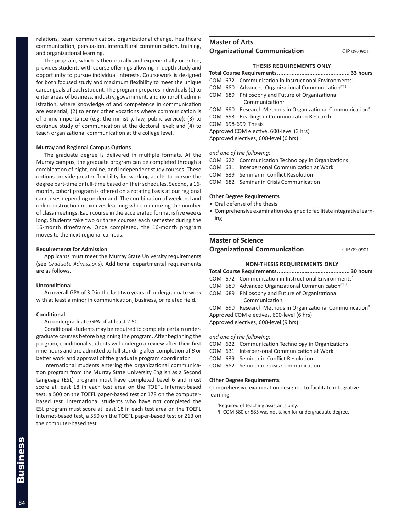relations, team communication, organizational change, healthcare communication, persuasion, intercultural communication, training, and organizational learning.

The program, which is theoretically and experientially oriented, provides students with course offerings allowing in-depth study and opportunity to pursue individual interests. Coursework is designed for both focused study and maximum flexibility to meet the unique career goals of each student. The program prepares individuals (1) to enter areas of business, industry, government, and nonprofit administration, where knowledge of and competence in communication are essential; (2) to enter other vocations where communication is of prime importance (e.g. the ministry, law, public service); (3) to continue study of communication at the doctoral level; and (4) to teach organizational communication at the college level.

#### **Murray and Regional Campus Options**

The graduate degree is delivered in multiple formats. At the Murray campus, the graduate program can be completed through a combination of night, online, and independent study courses. These options provide greater flexibility for working adults to pursue the degree part-time or full-time based on their schedules. Second, a 16 month, cohort program is offered on a rotating basis at our regional campuses depending on demand. The combination of weekend and online instruction maximizes learning while minimizing the number of class meetings. Each course in the accelerated format is five weeks long. Students take two or three courses each semester during the 16-month timeframe. Once completed, the 16-month program moves to the next regional campus.

#### **Requirements for Admission**

Applicants must meet the Murray State University requirements (see *Graduate Admissions*). Additional departmental requirements are as follows.

#### **Unconditional**

An overall GPA of 3.0 in the last two years of undergraduate work with at least a minor in communication, business, or related field.

#### **Conditional**

An undergraduate GPA of at least 2.50.

Conditional students may be required to complete certain undergraduate courses before beginning the program. After beginning the program, conditional students will undergo a review after their first nine hours and are admitted to full standing after completion of *B* or better work and approval of the graduate program coordinator.

International students entering the organizational communication program from the Murray State University English as a Second Language (ESL) program must have completed Level 6 and must score at least 18 in each test area on the TOEFL Internet-based test, a 500 on the TOEFL paper-based test or 178 on the computerbased test. International students who have not completed the ESL program must score at least 18 in each test area on the TOEFL Internet-based test, a 550 on the TOEFL paper-based test or 213 on the computer-based test.

### **Master of Arts Organizational Communication** CIP 09.0901

#### **THESIS REQUIREMENTS ONLY**

- **Total Course Requirements............................................. 33 hours**
- COM 672 Communication in Instructional Environments<sup>1</sup>
- COM 680 Advanced Organizational Communication $P^{T,2}$ COM 689 Philosophy and Future of Organizational
- Communication<sup>L</sup>
- COM 690 Research Methods in Organizational Communication<sup>R</sup>
- COM 693 Readings in Communication Research
- COM 698-699 Thesis
- Approved COM elective, 600-level (3 hrs)

Approved electives, 600-level (6 hrs)

#### *and one of the following:*

- COM 622 Communication Technology in Organizations
- COM 631 Interpersonal Communication at Work
- COM 639 Seminar in Conflict Resolution
- COM 682 Seminar in Crisis Communication

#### **Other Degree Requirements**

- Oral defense of the thesis.
- Comprehensive examination designed to facilitate integrative learning.

#### **Master of Science**

**Organizational Communication** CIP 09.0901

### **NON-THESIS REQUIREMENTS ONLY**

- **Total Course Requirements............................................. 30 hours**
- COM 672 Communication in Instructional Environments<sup>1</sup>
- COM 680 Advanced Organizational Communication $P^{T, 2}$
- COM 689 Philosophy and Future of Organizational
- Communication<sup>L</sup>

COM  $690$  Research Methods in Organizational Communication<sup>R</sup> Approved COM electives, 600-level (6 hrs)

Approved electives, 600-level (9 hrs)

*and one of the following:*

- COM 622 Communication Technology in Organizations
- COM 631 Interpersonal Communication at Work
- COM 639 Seminar in Conflict Resolution
- COM 682 Seminar in Crisis Communication

#### **Other Degree Requirements**

Comprehensive examination designed to facilitate integrative learning.

<sup>1</sup>Required of teaching assistants only.

2 If COM 580 or 585 was not taken for undergraduate degree.